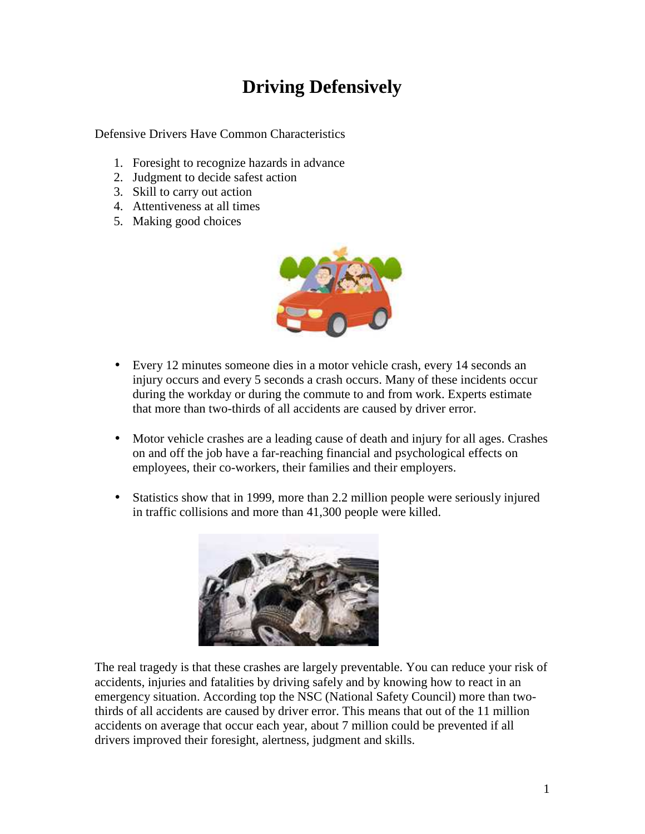## **Driving Defensively**

Defensive Drivers Have Common Characteristics

- 1. Foresight to recognize hazards in advance
- 2. Judgment to decide safest action
- 3. Skill to carry out action
- 4. Attentiveness at all times
- 5. Making good choices



- Every 12 minutes someone dies in a motor vehicle crash, every 14 seconds an injury occurs and every 5 seconds a crash occurs. Many of these incidents occur during the workday or during the commute to and from work. Experts estimate that more than two-thirds of all accidents are caused by driver error.
- Motor vehicle crashes are a leading cause of death and injury for all ages. Crashes on and off the job have a far-reaching financial and psychological effects on employees, their co-workers, their families and their employers.
- Statistics show that in 1999, more than 2.2 million people were seriously injured in traffic collisions and more than 41,300 people were killed.



The real tragedy is that these crashes are largely preventable. You can reduce your risk of accidents, injuries and fatalities by driving safely and by knowing how to react in an emergency situation. According top the NSC (National Safety Council) more than twothirds of all accidents are caused by driver error. This means that out of the 11 million accidents on average that occur each year, about 7 million could be prevented if all drivers improved their foresight, alertness, judgment and skills.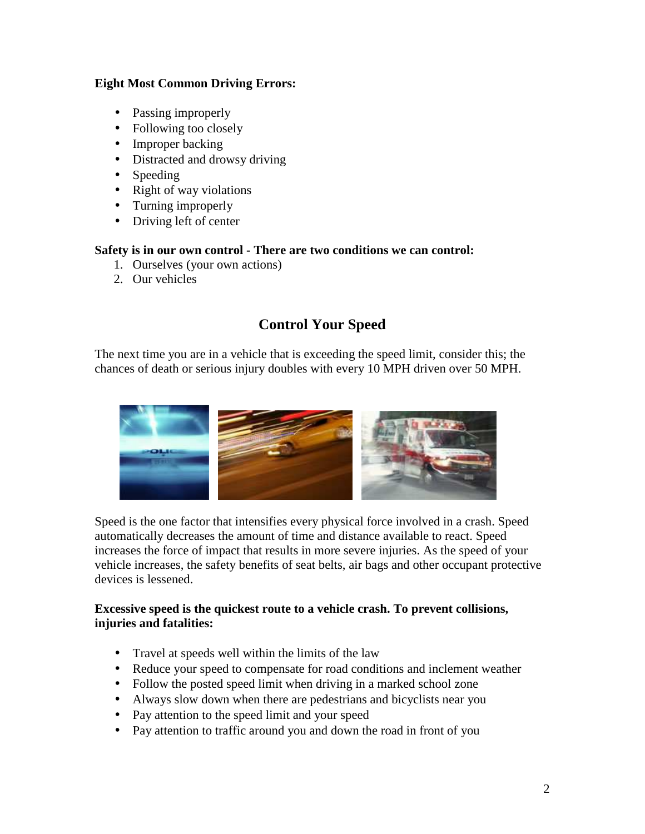## **Eight Most Common Driving Errors:**

- Passing improperly
- Following too closely
- Improper backing
- Distracted and drowsy driving
- Speeding
- Right of way violations
- Turning improperly
- Driving left of center

#### **Safety is in our own control - There are two conditions we can control:**

- 1. Ourselves (your own actions)
- 2. Our vehicles

## **Control Your Speed**

The next time you are in a vehicle that is exceeding the speed limit, consider this; the chances of death or serious injury doubles with every 10 MPH driven over 50 MPH.



Speed is the one factor that intensifies every physical force involved in a crash. Speed automatically decreases the amount of time and distance available to react. Speed increases the force of impact that results in more severe injuries. As the speed of your vehicle increases, the safety benefits of seat belts, air bags and other occupant protective devices is lessened.

## **Excessive speed is the quickest route to a vehicle crash. To prevent collisions, injuries and fatalities:**

- Travel at speeds well within the limits of the law
- Reduce your speed to compensate for road conditions and inclement weather
- Follow the posted speed limit when driving in a marked school zone
- Always slow down when there are pedestrians and bicyclists near you
- Pay attention to the speed limit and your speed
- Pay attention to traffic around you and down the road in front of you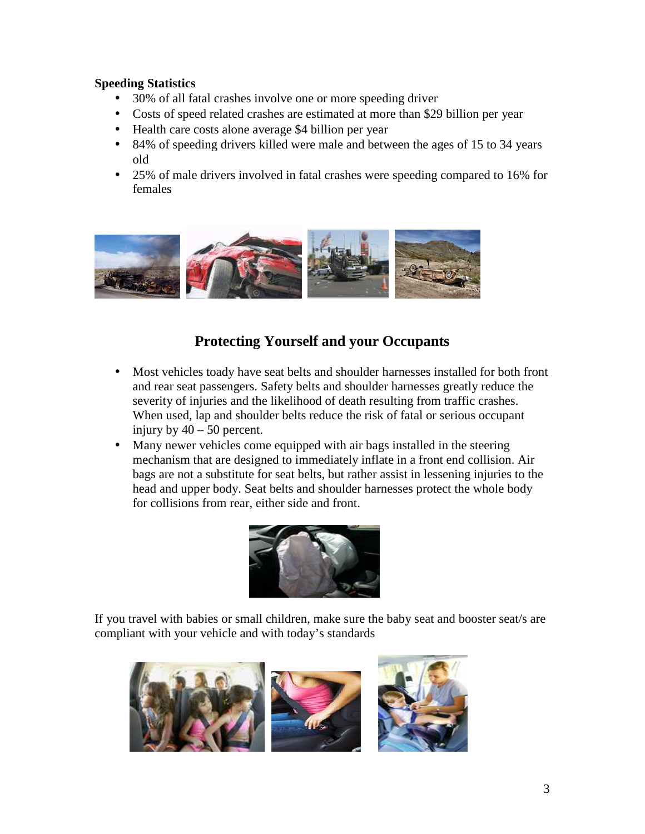#### **Speeding Statistics**

- 30% of all fatal crashes involve one or more speeding driver
- Costs of speed related crashes are estimated at more than \$29 billion per year
- Health care costs alone average \$4 billion per year
- 84% of speeding drivers killed were male and between the ages of 15 to 34 years old
- 25% of male drivers involved in fatal crashes were speeding compared to 16% for females



## **Protecting Yourself and your Occupants**

- Most vehicles toady have seat belts and shoulder harnesses installed for both front and rear seat passengers. Safety belts and shoulder harnesses greatly reduce the severity of injuries and the likelihood of death resulting from traffic crashes. When used, lap and shoulder belts reduce the risk of fatal or serious occupant injury by  $40 - 50$  percent.
- Many newer vehicles come equipped with air bags installed in the steering mechanism that are designed to immediately inflate in a front end collision. Air bags are not a substitute for seat belts, but rather assist in lessening injuries to the head and upper body. Seat belts and shoulder harnesses protect the whole body for collisions from rear, either side and front.



If you travel with babies or small children, make sure the baby seat and booster seat/s are compliant with your vehicle and with today's standards

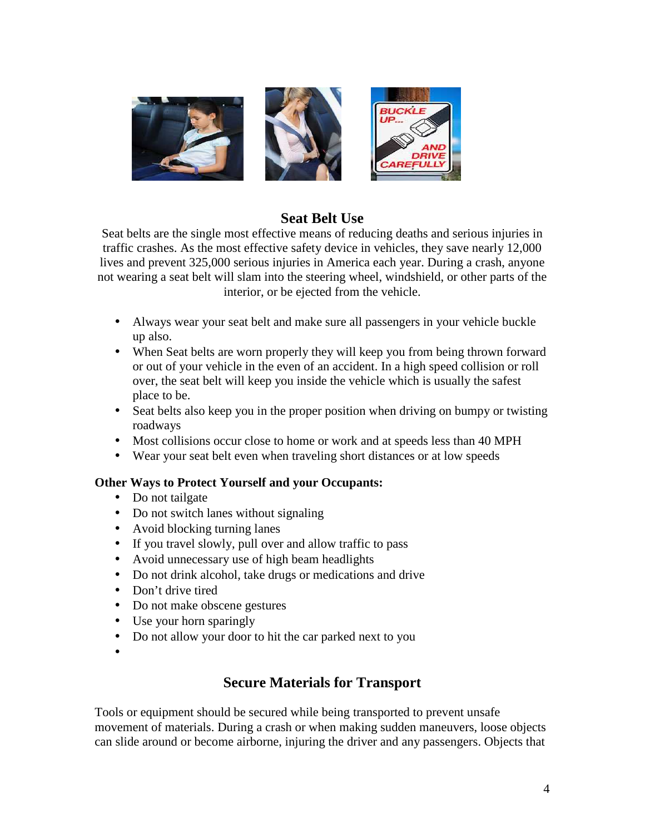

## **Seat Belt Use**

Seat belts are the single most effective means of reducing deaths and serious injuries in traffic crashes. As the most effective safety device in vehicles, they save nearly 12,000 lives and prevent 325,000 serious injuries in America each year. During a crash, anyone not wearing a seat belt will slam into the steering wheel, windshield, or other parts of the interior, or be ejected from the vehicle.

- Always wear your seat belt and make sure all passengers in your vehicle buckle up also.
- When Seat belts are worn properly they will keep you from being thrown forward or out of your vehicle in the even of an accident. In a high speed collision or roll over, the seat belt will keep you inside the vehicle which is usually the safest place to be.
- Seat belts also keep you in the proper position when driving on bumpy or twisting roadways
- Most collisions occur close to home or work and at speeds less than 40 MPH
- Wear your seat belt even when traveling short distances or at low speeds

## **Other Ways to Protect Yourself and your Occupants:**

- Do not tailgate
- Do not switch lanes without signaling
- Avoid blocking turning lanes
- If you travel slowly, pull over and allow traffic to pass
- Avoid unnecessary use of high beam headlights
- Do not drink alcohol, take drugs or medications and drive
- Don't drive tired
- Do not make obscene gestures
- Use your horn sparingly
- Do not allow your door to hit the car parked next to you
- •

## **Secure Materials for Transport**

Tools or equipment should be secured while being transported to prevent unsafe movement of materials. During a crash or when making sudden maneuvers, loose objects can slide around or become airborne, injuring the driver and any passengers. Objects that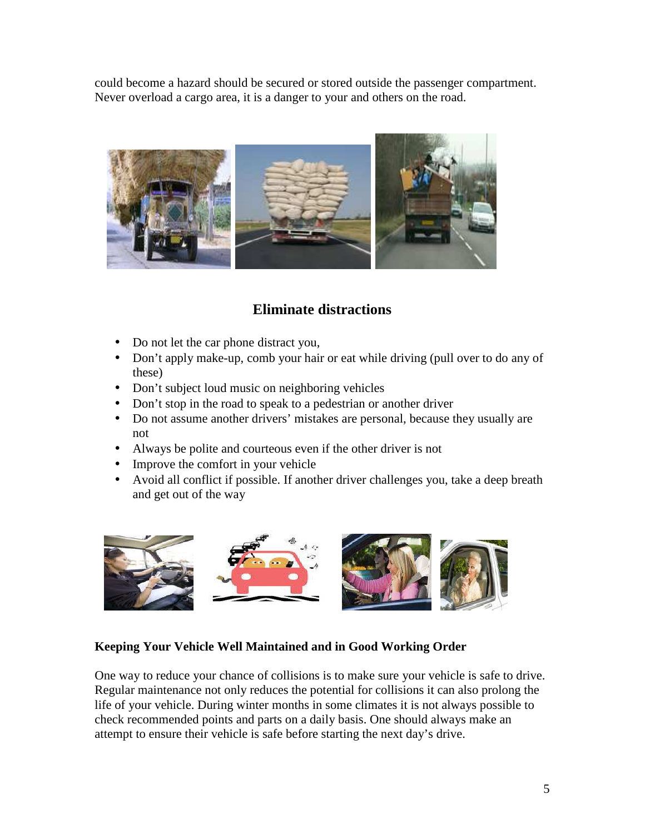could become a hazard should be secured or stored outside the passenger compartment. Never overload a cargo area, it is a danger to your and others on the road.



## **Eliminate distractions**

- Do not let the car phone distract you,
- Don't apply make-up, comb your hair or eat while driving (pull over to do any of these)
- Don't subject loud music on neighboring vehicles
- Don't stop in the road to speak to a pedestrian or another driver
- Do not assume another drivers' mistakes are personal, because they usually are not
- Always be polite and courteous even if the other driver is not
- Improve the comfort in your vehicle
- Avoid all conflict if possible. If another driver challenges you, take a deep breath and get out of the way



## **Keeping Your Vehicle Well Maintained and in Good Working Order**

One way to reduce your chance of collisions is to make sure your vehicle is safe to drive. Regular maintenance not only reduces the potential for collisions it can also prolong the life of your vehicle. During winter months in some climates it is not always possible to check recommended points and parts on a daily basis. One should always make an attempt to ensure their vehicle is safe before starting the next day's drive.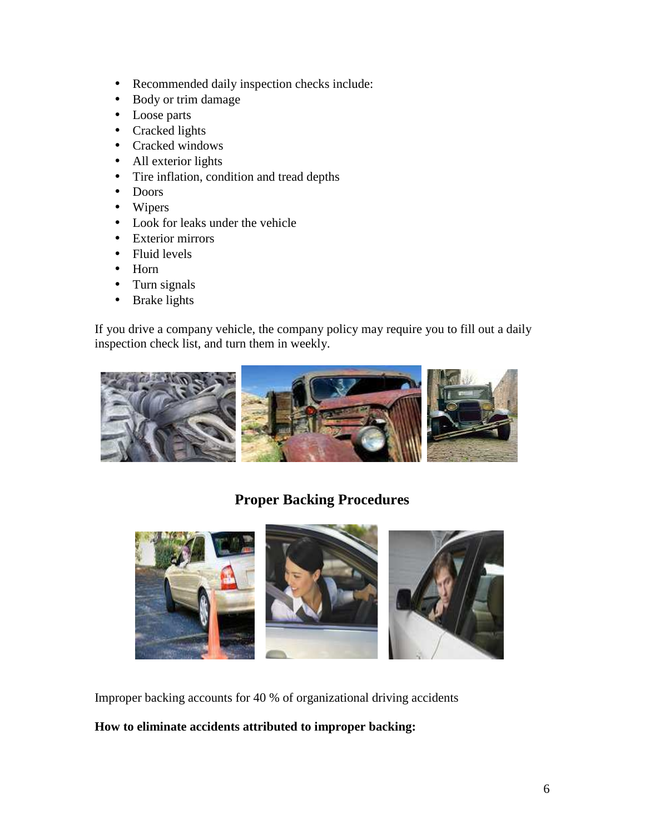- Recommended daily inspection checks include:
- Body or trim damage
- Loose parts
- Cracked lights
- Cracked windows
- All exterior lights
- Tire inflation, condition and tread depths
- Doors
- Wipers
- Look for leaks under the vehicle
- Exterior mirrors
- Fluid levels
- Horn
- Turn signals
- Brake lights

If you drive a company vehicle, the company policy may require you to fill out a daily inspection check list, and turn them in weekly.



## **Proper Backing Procedures**



Improper backing accounts for 40 % of organizational driving accidents

## **How to eliminate accidents attributed to improper backing:**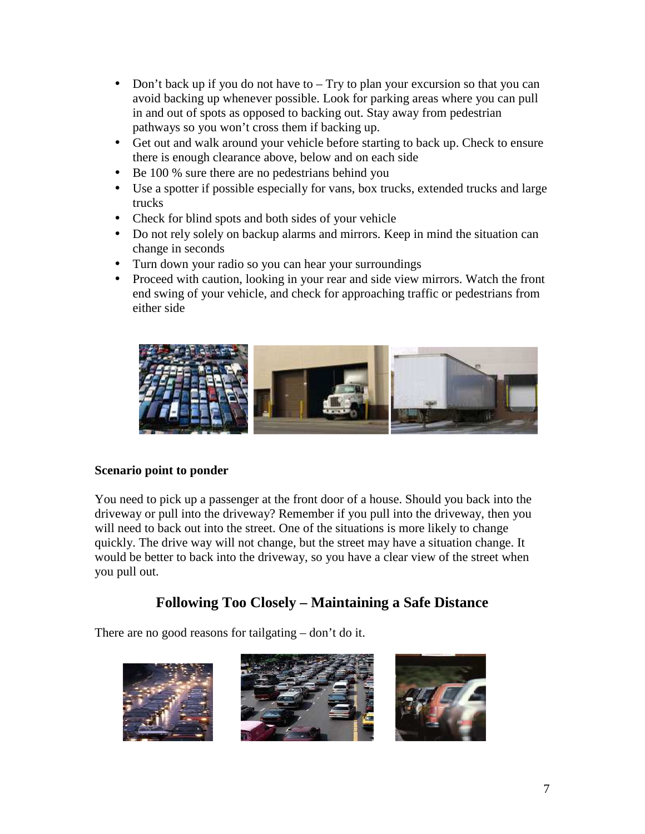- Don't back up if you do not have to Try to plan your excursion so that you can avoid backing up whenever possible. Look for parking areas where you can pull in and out of spots as opposed to backing out. Stay away from pedestrian pathways so you won't cross them if backing up.
- Get out and walk around your vehicle before starting to back up. Check to ensure there is enough clearance above, below and on each side
- Be 100 % sure there are no pedestrians behind you
- Use a spotter if possible especially for vans, box trucks, extended trucks and large trucks
- Check for blind spots and both sides of your vehicle
- Do not rely solely on backup alarms and mirrors. Keep in mind the situation can change in seconds
- Turn down your radio so you can hear your surroundings
- Proceed with caution, looking in your rear and side view mirrors. Watch the front end swing of your vehicle, and check for approaching traffic or pedestrians from either side



## **Scenario point to ponder**

You need to pick up a passenger at the front door of a house. Should you back into the driveway or pull into the driveway? Remember if you pull into the driveway, then you will need to back out into the street. One of the situations is more likely to change quickly. The drive way will not change, but the street may have a situation change. It would be better to back into the driveway, so you have a clear view of the street when you pull out.

## **Following Too Closely – Maintaining a Safe Distance**

There are no good reasons for tailgating – don't do it.

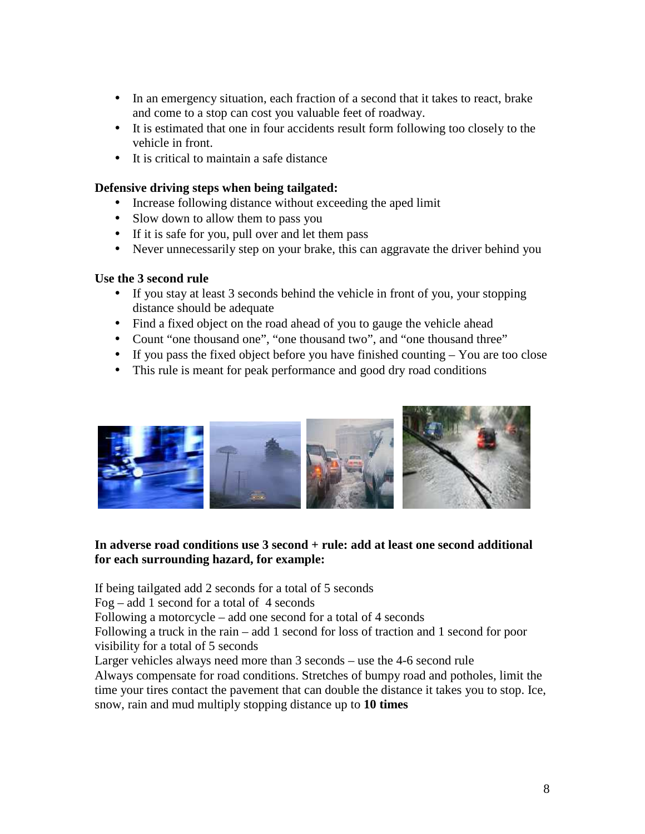- In an emergency situation, each fraction of a second that it takes to react, brake and come to a stop can cost you valuable feet of roadway.
- It is estimated that one in four accidents result form following too closely to the vehicle in front.
- It is critical to maintain a safe distance

#### **Defensive driving steps when being tailgated:**

- Increase following distance without exceeding the aped limit
- Slow down to allow them to pass you
- If it is safe for you, pull over and let them pass
- Never unnecessarily step on your brake, this can aggravate the driver behind you

#### **Use the 3 second rule**

- If you stay at least 3 seconds behind the vehicle in front of you, your stopping distance should be adequate
- Find a fixed object on the road ahead of you to gauge the vehicle ahead
- Count "one thousand one", "one thousand two", and "one thousand three"
- If you pass the fixed object before you have finished counting You are too close
- This rule is meant for peak performance and good dry road conditions



#### In adverse road conditions use 3 second + rule: add at least one second additional **for each surrounding hazard, for example:**

If being tailgated add 2 seconds for a total of 5 seconds

Fog – add 1 second for a total of  $4$  seconds

Following a motorcycle – add one second for a total of 4 seconds

Following a truck in the rain – add 1 second for loss of traction and 1 second for poor visibility for a total of 5 seconds

Larger vehicles always need more than 3 seconds – use the 4-6 second rule

Always compensate for road conditions. Stretches of bumpy road and potholes, limit the time your tires contact the pavement that can double the distance it takes you to stop. Ice, snow, rain and mud multiply stopping distance up to **10 times**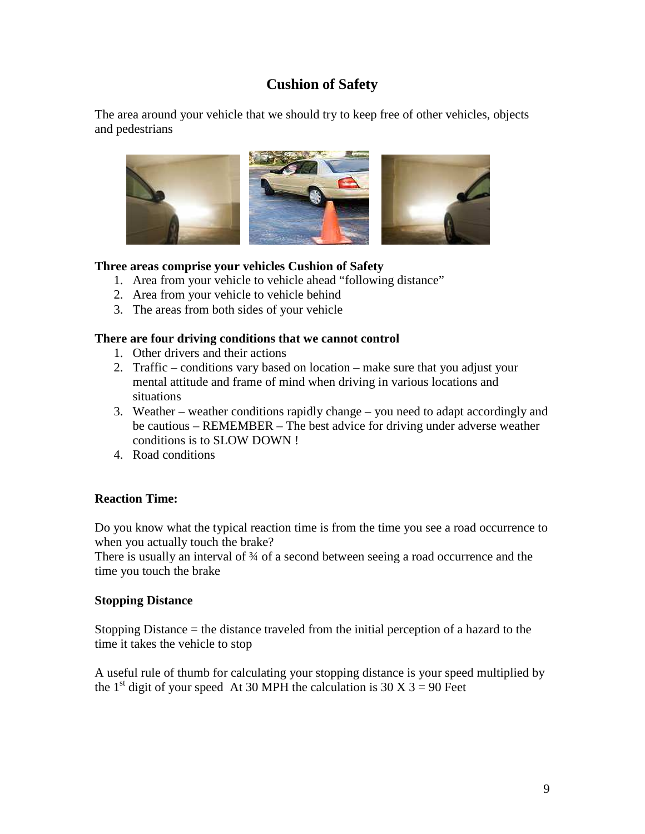## **Cushion of Safety**

The area around your vehicle that we should try to keep free of other vehicles, objects and pedestrians



## **Three areas comprise your vehicles Cushion of Safety**

- 1. Area from your vehicle to vehicle ahead "following distance"
- 2. Area from your vehicle to vehicle behind
- 3. The areas from both sides of your vehicle

#### **There are four driving conditions that we cannot control**

- 1. Other drivers and their actions
- 2. Traffic conditions vary based on location make sure that you adjust your mental attitude and frame of mind when driving in various locations and situations
- 3. Weather weather conditions rapidly change you need to adapt accordingly and be cautious – REMEMBER – The best advice for driving under adverse weather conditions is to SLOW DOWN !
- 4. Road conditions

## **Reaction Time:**

Do you know what the typical reaction time is from the time you see a road occurrence to when you actually touch the brake?

There is usually an interval of 34 of a second between seeing a road occurrence and the time you touch the brake

#### **Stopping Distance**

Stopping Distance = the distance traveled from the initial perception of a hazard to the time it takes the vehicle to stop

A useful rule of thumb for calculating your stopping distance is your speed multiplied by the 1<sup>st</sup> digit of your speed At 30 MPH the calculation is 30 X 3 = 90 Feet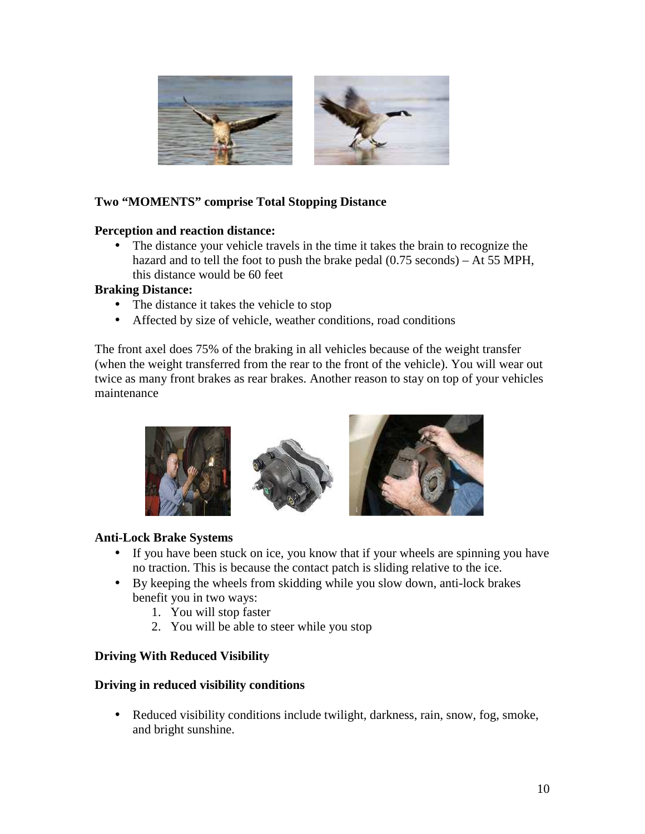

## **Two "MOMENTS" comprise Total Stopping Distance**

#### **Perception and reaction distance:**

• The distance your vehicle travels in the time it takes the brain to recognize the hazard and to tell the foot to push the brake pedal (0.75 seconds) – At 55 MPH, this distance would be 60 feet

#### **Braking Distance:**

- The distance it takes the vehicle to stop
- Affected by size of vehicle, weather conditions, road conditions

The front axel does 75% of the braking in all vehicles because of the weight transfer (when the weight transferred from the rear to the front of the vehicle). You will wear out twice as many front brakes as rear brakes. Another reason to stay on top of your vehicles maintenance



## **Anti-Lock Brake Systems**

- If you have been stuck on ice, you know that if your wheels are spinning you have no traction. This is because the contact patch is sliding relative to the ice.
- By keeping the wheels from skidding while you slow down, anti-lock brakes benefit you in two ways:
	- 1. You will stop faster
	- 2. You will be able to steer while you stop

## **Driving With Reduced Visibility**

#### **Driving in reduced visibility conditions**

• Reduced visibility conditions include twilight, darkness, rain, snow, fog, smoke, and bright sunshine.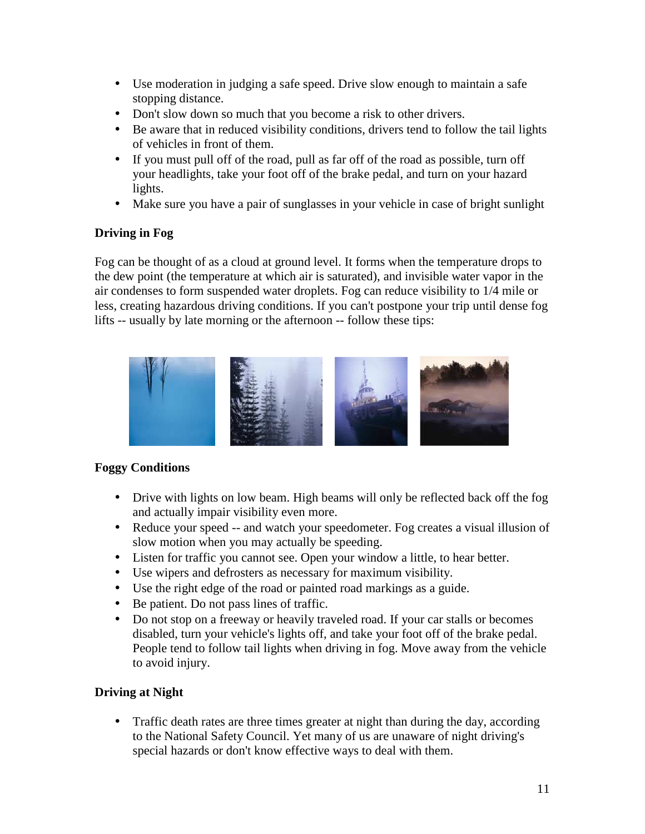- Use moderation in judging a safe speed. Drive slow enough to maintain a safe stopping distance.
- Don't slow down so much that you become a risk to other drivers.
- Be aware that in reduced visibility conditions, drivers tend to follow the tail lights of vehicles in front of them.
- If you must pull off of the road, pull as far off of the road as possible, turn off your headlights, take your foot off of the brake pedal, and turn on your hazard lights.
- Make sure you have a pair of sunglasses in your vehicle in case of bright sunlight

## **Driving in Fog**

Fog can be thought of as a cloud at ground level. It forms when the temperature drops to the dew point (the temperature at which air is saturated), and invisible water vapor in the air condenses to form suspended water droplets. Fog can reduce visibility to 1/4 mile or less, creating hazardous driving conditions. If you can't postpone your trip until dense fog lifts -- usually by late morning or the afternoon -- follow these tips:



## **Foggy Conditions**

- Drive with lights on low beam. High beams will only be reflected back off the fog and actually impair visibility even more.
- Reduce your speed -- and watch your speedometer. Fog creates a visual illusion of slow motion when you may actually be speeding.
- Listen for traffic you cannot see. Open your window a little, to hear better.
- Use wipers and defrosters as necessary for maximum visibility.
- Use the right edge of the road or painted road markings as a guide.
- Be patient. Do not pass lines of traffic.
- Do not stop on a freeway or heavily traveled road. If your car stalls or becomes disabled, turn your vehicle's lights off, and take your foot off of the brake pedal. People tend to follow tail lights when driving in fog. Move away from the vehicle to avoid injury.

## **Driving at Night**

• Traffic death rates are three times greater at night than during the day, according to the National Safety Council. Yet many of us are unaware of night driving's special hazards or don't know effective ways to deal with them.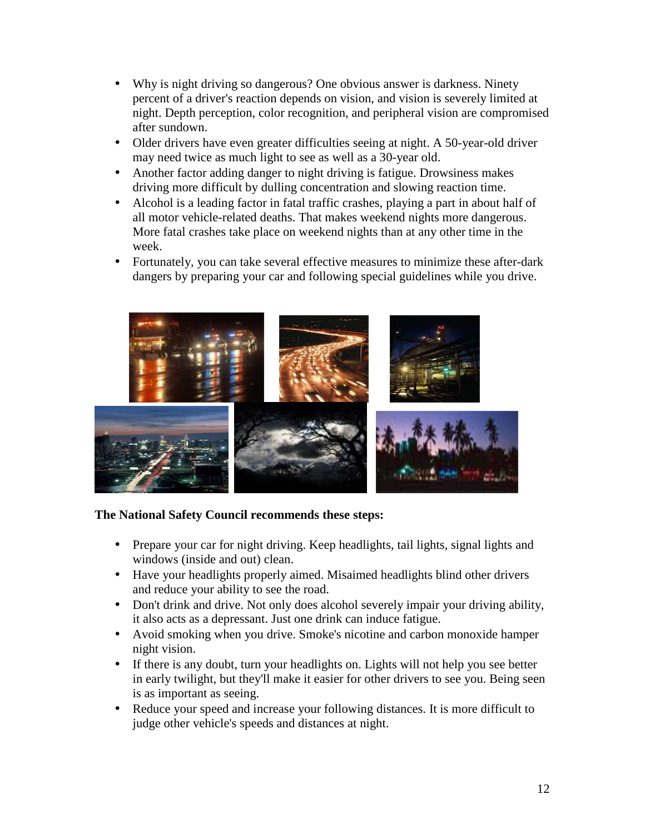- Why is night driving so dangerous? One obvious answer is darkness. Ninety percent of a driver's reaction depends on vision, and vision is severely limited at night. Depth perception, color recognition, and peripheral vision are compromised after sundown.
- Older drivers have even greater difficulties seeing at night. A 50-year-old driver may need twice as much light to see as well as a 30-year old.
- Another factor adding danger to night driving is fatigue. Drowsiness makes driving more difficult by dulling concentration and slowing reaction time.
- Alcohol is a leading factor in fatal traffic crashes, playing a part in about half of all motor vehicle-related deaths. That makes weekend nights more dangerous. More fatal crashes take place on weekend nights than at any other time in the week.
- Fortunately, you can take several effective measures to minimize these after-dark dangers by preparing your car and following special guidelines while you drive.



## **The National Safety Council recommends these steps:**

- Prepare your car for night driving. Keep headlights, tail lights, signal lights and windows (inside and out) clean.
- Have your headlights properly aimed. Misaimed headlights blind other drivers and reduce your ability to see the road.
- Don't drink and drive. Not only does alcohol severely impair your driving ability, it also acts as a depressant. Just one drink can induce fatigue.
- Avoid smoking when you drive. Smoke's nicotine and carbon monoxide hamper night vision.
- If there is any doubt, turn your headlights on. Lights will not help you see better in early twilight, but they'll make it easier for other drivers to see you. Being seen is as important as seeing.
- Reduce your speed and increase your following distances. It is more difficult to judge other vehicle's speeds and distances at night.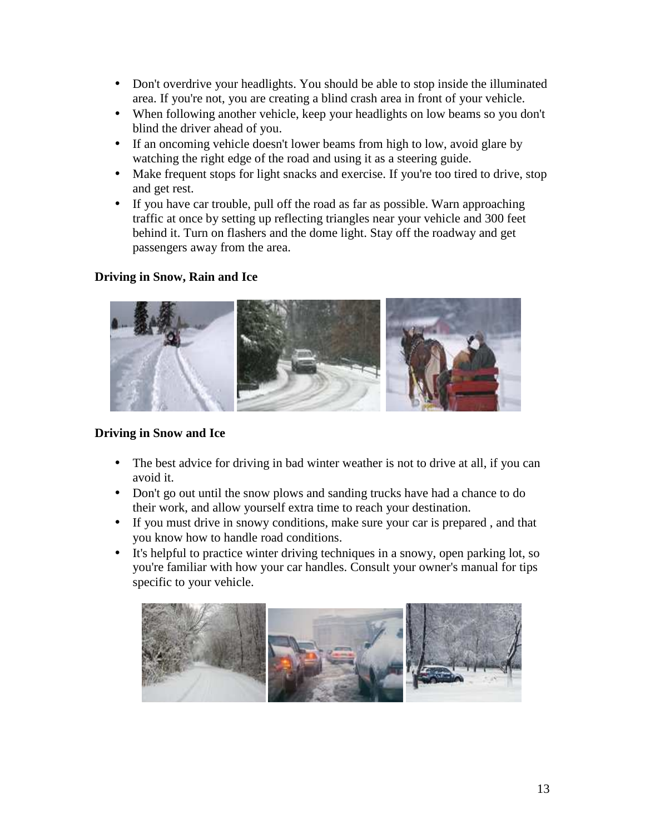- Don't overdrive your headlights. You should be able to stop inside the illuminated area. If you're not, you are creating a blind crash area in front of your vehicle.
- When following another vehicle, keep your headlights on low beams so you don't blind the driver ahead of you.
- If an oncoming vehicle doesn't lower beams from high to low, avoid glare by watching the right edge of the road and using it as a steering guide.
- Make frequent stops for light snacks and exercise. If you're too tired to drive, stop and get rest.
- If you have car trouble, pull off the road as far as possible. Warn approaching traffic at once by setting up reflecting triangles near your vehicle and 300 feet behind it. Turn on flashers and the dome light. Stay off the roadway and get passengers away from the area.

## **Driving in Snow, Rain and Ice**



## **Driving in Snow and Ice**

- The best advice for driving in bad winter weather is not to drive at all, if you can avoid it.
- Don't go out until the snow plows and sanding trucks have had a chance to do their work, and allow yourself extra time to reach your destination.
- If you must drive in snowy conditions, make sure your car is prepared , and that you know how to handle road conditions.
- It's helpful to practice winter driving techniques in a snowy, open parking lot, so you're familiar with how your car handles. Consult your owner's manual for tips specific to your vehicle.

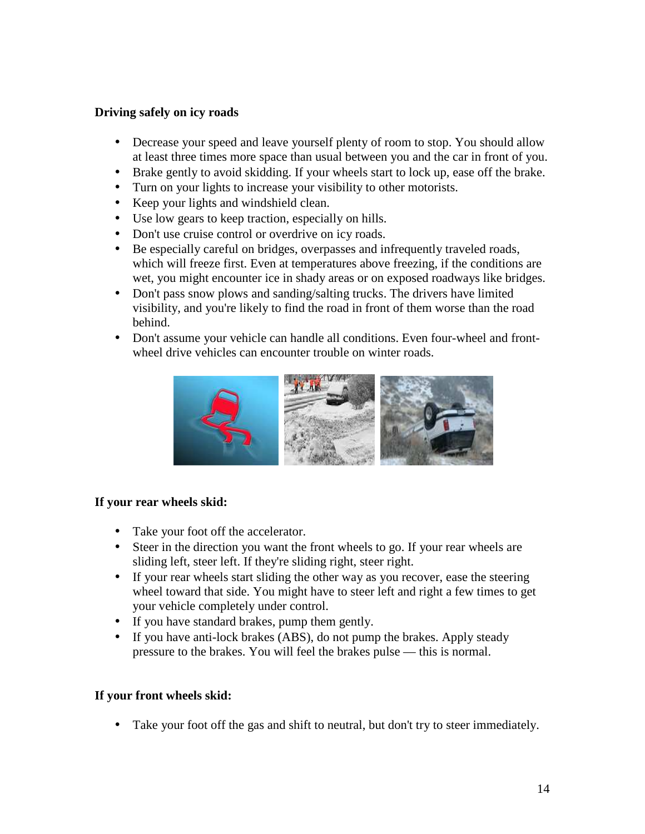## **Driving safely on icy roads**

- Decrease your speed and leave yourself plenty of room to stop. You should allow at least three times more space than usual between you and the car in front of you.
- Brake gently to avoid skidding. If your wheels start to lock up, ease off the brake.
- Turn on your lights to increase your visibility to other motorists.
- Keep your lights and windshield clean.
- Use low gears to keep traction, especially on hills.
- Don't use cruise control or overdrive on icy roads.
- Be especially careful on bridges, overpasses and infrequently traveled roads, which will freeze first. Even at temperatures above freezing, if the conditions are wet, you might encounter ice in shady areas or on exposed roadways like bridges.
- Don't pass snow plows and sanding/salting trucks. The drivers have limited visibility, and you're likely to find the road in front of them worse than the road behind.
- Don't assume your vehicle can handle all conditions. Even four-wheel and frontwheel drive vehicles can encounter trouble on winter roads.



## **If your rear wheels skid:**

- Take your foot off the accelerator.
- Steer in the direction you want the front wheels to go. If your rear wheels are sliding left, steer left. If they're sliding right, steer right.
- If your rear wheels start sliding the other way as you recover, ease the steering wheel toward that side. You might have to steer left and right a few times to get your vehicle completely under control.
- If you have standard brakes, pump them gently.
- If you have anti-lock brakes (ABS), do not pump the brakes. Apply steady pressure to the brakes. You will feel the brakes pulse — this is normal.

## **If your front wheels skid:**

• Take your foot off the gas and shift to neutral, but don't try to steer immediately.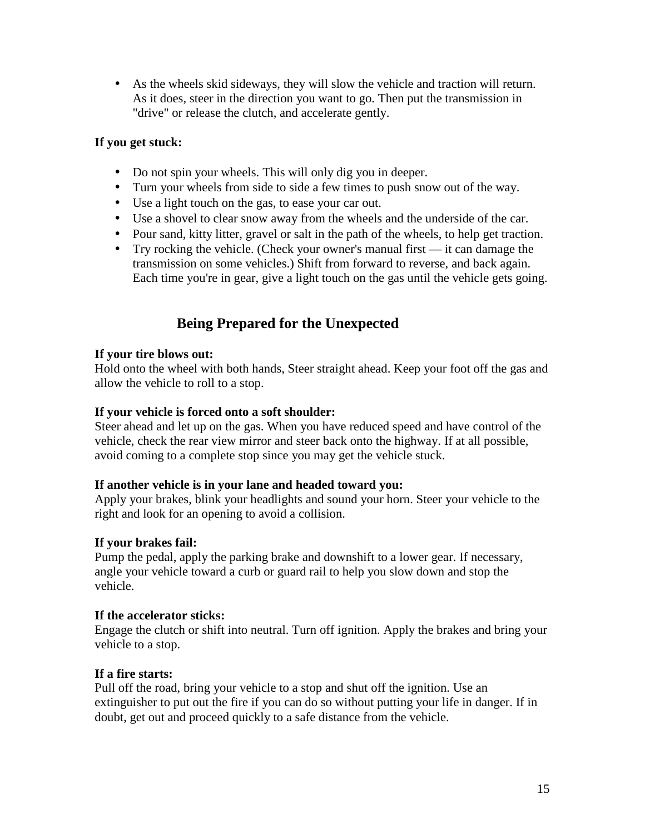• As the wheels skid sideways, they will slow the vehicle and traction will return. As it does, steer in the direction you want to go. Then put the transmission in "drive" or release the clutch, and accelerate gently.

## **If you get stuck:**

- Do not spin your wheels. This will only dig you in deeper.
- Turn your wheels from side to side a few times to push snow out of the way.
- Use a light touch on the gas, to ease your car out.
- Use a shovel to clear snow away from the wheels and the underside of the car.
- Pour sand, kitty litter, gravel or salt in the path of the wheels, to help get traction.
- Try rocking the vehicle. (Check your owner's manual first it can damage the transmission on some vehicles.) Shift from forward to reverse, and back again. Each time you're in gear, give a light touch on the gas until the vehicle gets going.

## **Being Prepared for the Unexpected**

## **If your tire blows out:**

Hold onto the wheel with both hands, Steer straight ahead. Keep your foot off the gas and allow the vehicle to roll to a stop.

## **If your vehicle is forced onto a soft shoulder:**

Steer ahead and let up on the gas. When you have reduced speed and have control of the vehicle, check the rear view mirror and steer back onto the highway. If at all possible, avoid coming to a complete stop since you may get the vehicle stuck.

## **If another vehicle is in your lane and headed toward you:**

Apply your brakes, blink your headlights and sound your horn. Steer your vehicle to the right and look for an opening to avoid a collision.

## **If your brakes fail:**

Pump the pedal, apply the parking brake and downshift to a lower gear. If necessary, angle your vehicle toward a curb or guard rail to help you slow down and stop the vehicle.

## **If the accelerator sticks:**

Engage the clutch or shift into neutral. Turn off ignition. Apply the brakes and bring your vehicle to a stop.

## **If a fire starts:**

Pull off the road, bring your vehicle to a stop and shut off the ignition. Use an extinguisher to put out the fire if you can do so without putting your life in danger. If in doubt, get out and proceed quickly to a safe distance from the vehicle.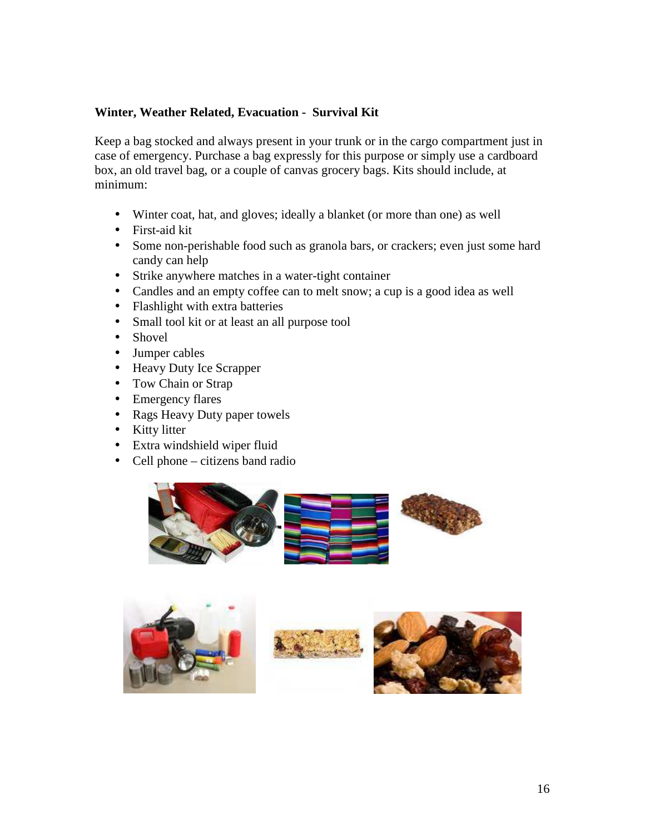## **Winter, Weather Related, Evacuation - Survival Kit**

Keep a bag stocked and always present in your trunk or in the cargo compartment just in case of emergency. Purchase a bag expressly for this purpose or simply use a cardboard box, an old travel bag, or a couple of canvas grocery bags. Kits should include, at minimum:

- Winter coat, hat, and gloves; ideally a blanket (or more than one) as well
- First-aid kit
- Some non-perishable food such as granola bars, or crackers; even just some hard candy can help
- Strike anywhere matches in a water-tight container
- Candles and an empty coffee can to melt snow; a cup is a good idea as well
- Flashlight with extra batteries
- Small tool kit or at least an all purpose tool
- Shovel
- Jumper cables
- Heavy Duty Ice Scrapper
- Tow Chain or Strap
- Emergency flares
- Rags Heavy Duty paper towels
- Kitty litter
- Extra windshield wiper fluid
- Cell phone citizens band radio







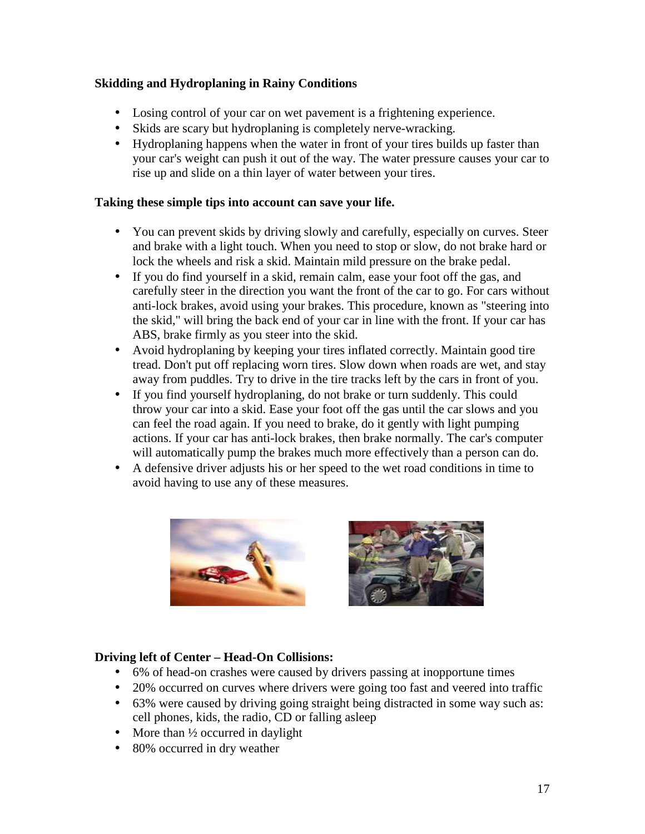## **Skidding and Hydroplaning in Rainy Conditions**

- Losing control of your car on wet pavement is a frightening experience.
- Skids are scary but hydroplaning is completely nerve-wracking.
- Hydroplaning happens when the water in front of your tires builds up faster than your car's weight can push it out of the way. The water pressure causes your car to rise up and slide on a thin layer of water between your tires.

## **Taking these simple tips into account can save your life.**

- You can prevent skids by driving slowly and carefully, especially on curves. Steer and brake with a light touch. When you need to stop or slow, do not brake hard or lock the wheels and risk a skid. Maintain mild pressure on the brake pedal.
- If you do find yourself in a skid, remain calm, ease your foot off the gas, and carefully steer in the direction you want the front of the car to go. For cars without anti-lock brakes, avoid using your brakes. This procedure, known as "steering into the skid," will bring the back end of your car in line with the front. If your car has ABS, brake firmly as you steer into the skid.
- Avoid hydroplaning by keeping your tires inflated correctly. Maintain good tire tread. Don't put off replacing worn tires. Slow down when roads are wet, and stay away from puddles. Try to drive in the tire tracks left by the cars in front of you.
- If you find yourself hydroplaning, do not brake or turn suddenly. This could throw your car into a skid. Ease your foot off the gas until the car slows and you can feel the road again. If you need to brake, do it gently with light pumping actions. If your car has anti-lock brakes, then brake normally. The car's computer will automatically pump the brakes much more effectively than a person can do.
- A defensive driver adjusts his or her speed to the wet road conditions in time to avoid having to use any of these measures.



## **Driving left of Center – Head-On Collisions:**

- 6% of head-on crashes were caused by drivers passing at inopportune times
- 20% occurred on curves where drivers were going too fast and veered into traffic
- 63% were caused by driving going straight being distracted in some way such as: cell phones, kids, the radio, CD or falling asleep
- More than  $\frac{1}{2}$  occurred in daylight
- 80% occurred in dry weather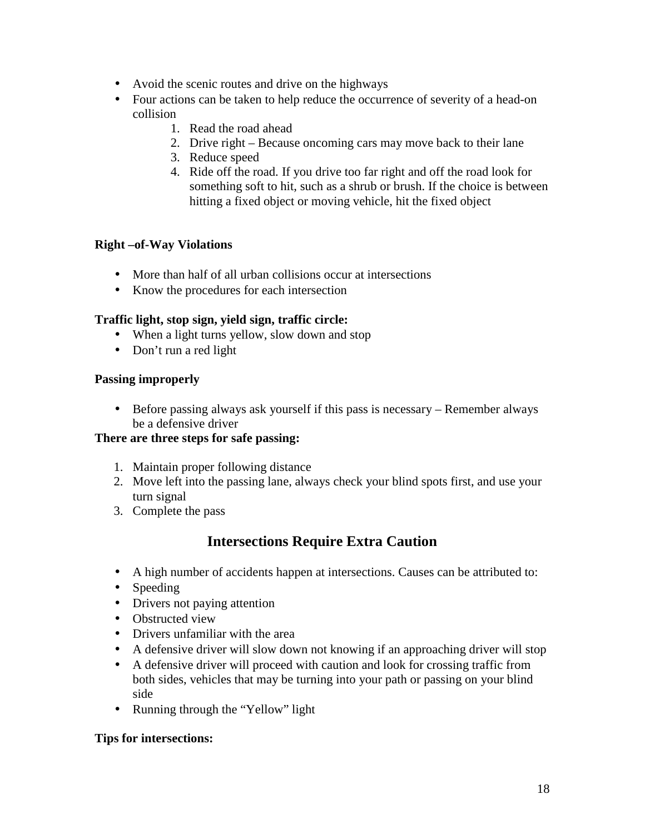- Avoid the scenic routes and drive on the highways
- Four actions can be taken to help reduce the occurrence of severity of a head-on collision
	- 1. Read the road ahead
	- 2. Drive right Because oncoming cars may move back to their lane
	- 3. Reduce speed
	- 4. Ride off the road. If you drive too far right and off the road look for something soft to hit, such as a shrub or brush. If the choice is between hitting a fixed object or moving vehicle, hit the fixed object

## **Right –of-Way Violations**

- More than half of all urban collisions occur at intersections
- Know the procedures for each intersection

## **Traffic light, stop sign, yield sign, traffic circle:**

- When a light turns yellow, slow down and stop
- Don't run a red light

## **Passing improperly**

• Before passing always ask yourself if this pass is necessary – Remember always be a defensive driver

## **There are three steps for safe passing:**

- 1. Maintain proper following distance
- 2. Move left into the passing lane, always check your blind spots first, and use your turn signal
- 3. Complete the pass

## **Intersections Require Extra Caution**

- A high number of accidents happen at intersections. Causes can be attributed to:
- Speeding
- Drivers not paying attention
- Obstructed view
- Drivers unfamiliar with the area
- A defensive driver will slow down not knowing if an approaching driver will stop
- A defensive driver will proceed with caution and look for crossing traffic from both sides, vehicles that may be turning into your path or passing on your blind side
- Running through the "Yellow" light

## **Tips for intersections:**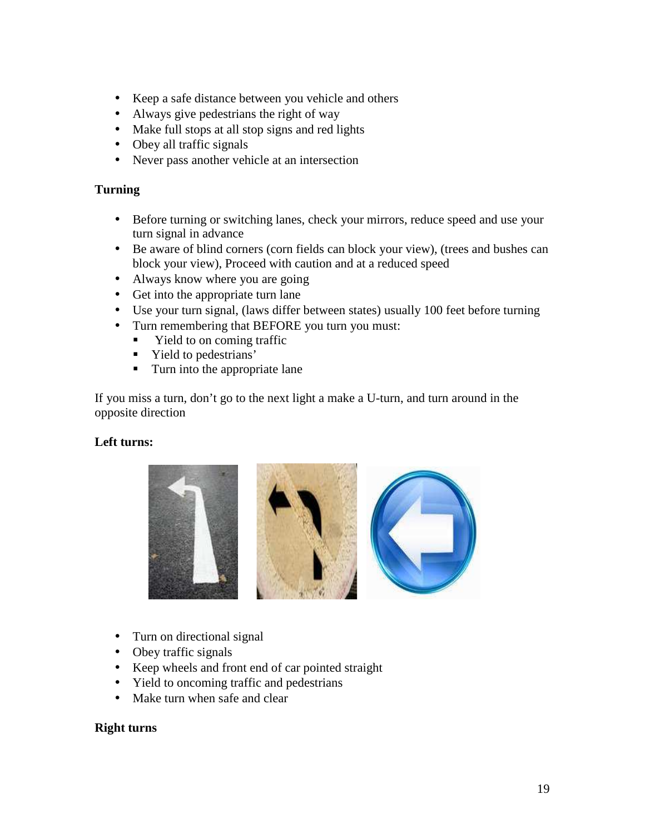- Keep a safe distance between you vehicle and others
- Always give pedestrians the right of way
- Make full stops at all stop signs and red lights
- Obey all traffic signals
- Never pass another vehicle at an intersection

## **Turning**

- Before turning or switching lanes, check your mirrors, reduce speed and use your turn signal in advance
- Be aware of blind corners (corn fields can block your view), (trees and bushes can block your view), Proceed with caution and at a reduced speed
- Always know where you are going
- Get into the appropriate turn lane
- Use your turn signal, (laws differ between states) usually 100 feet before turning
- Turn remembering that BEFORE you turn you must:
	- Yield to on coming traffic
	- Yield to pedestrians'
	- **Turn into the appropriate lane**

If you miss a turn, don't go to the next light a make a U-turn, and turn around in the opposite direction

## **Left turns:**



- Turn on directional signal
- Obey traffic signals
- Keep wheels and front end of car pointed straight
- Yield to oncoming traffic and pedestrians
- Make turn when safe and clear

## **Right turns**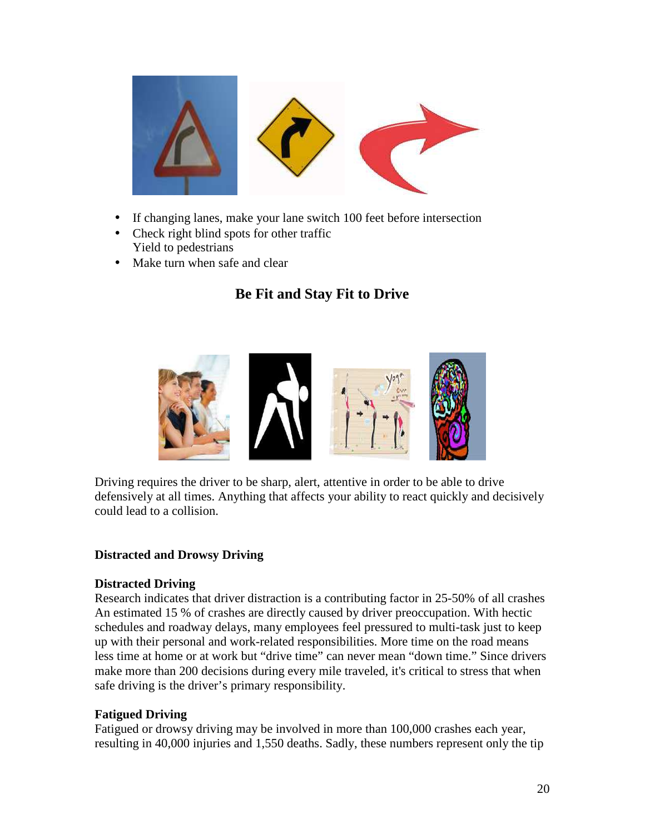

- If changing lanes, make your lane switch 100 feet before intersection
- Check right blind spots for other traffic Yield to pedestrians
- Make turn when safe and clear

## **Be Fit and Stay Fit to Drive**



Driving requires the driver to be sharp, alert, attentive in order to be able to drive defensively at all times. Anything that affects your ability to react quickly and decisively could lead to a collision.

#### **Distracted and Drowsy Driving**

#### **Distracted Driving**

Research indicates that driver distraction is a contributing factor in 25-50% of all crashes An estimated 15 % of crashes are directly caused by driver preoccupation. With hectic schedules and roadway delays, many employees feel pressured to multi-task just to keep up with their personal and work-related responsibilities. More time on the road means less time at home or at work but "drive time" can never mean "down time." Since drivers make more than 200 decisions during every mile traveled, it's critical to stress that when safe driving is the driver's primary responsibility.

#### **Fatigued Driving**

Fatigued or drowsy driving may be involved in more than 100,000 crashes each year, resulting in 40,000 injuries and 1,550 deaths. Sadly, these numbers represent only the tip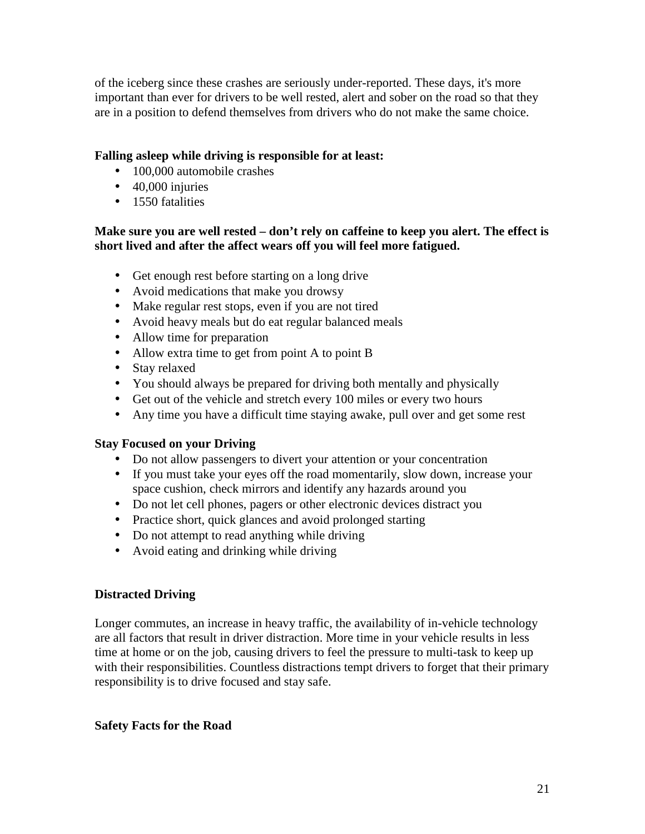of the iceberg since these crashes are seriously under-reported. These days, it's more important than ever for drivers to be well rested, alert and sober on the road so that they are in a position to defend themselves from drivers who do not make the same choice.

## **Falling asleep while driving is responsible for at least:**

- 100,000 automobile crashes
- 40,000 injuries
- 1550 fatalities

#### **Make sure you are well rested – don't rely on caffeine to keep you alert. The effect is short lived and after the affect wears off you will feel more fatigued.**

- Get enough rest before starting on a long drive
- Avoid medications that make you drowsy
- Make regular rest stops, even if you are not tired
- Avoid heavy meals but do eat regular balanced meals
- Allow time for preparation
- Allow extra time to get from point A to point B
- Stay relaxed
- You should always be prepared for driving both mentally and physically
- Get out of the vehicle and stretch every 100 miles or every two hours
- Any time you have a difficult time staying awake, pull over and get some rest

## **Stay Focused on your Driving**

- Do not allow passengers to divert your attention or your concentration
- If you must take your eyes off the road momentarily, slow down, increase your space cushion, check mirrors and identify any hazards around you
- Do not let cell phones, pagers or other electronic devices distract you
- Practice short, quick glances and avoid prolonged starting
- Do not attempt to read anything while driving
- Avoid eating and drinking while driving

## **Distracted Driving**

Longer commutes, an increase in heavy traffic, the availability of in-vehicle technology are all factors that result in driver distraction. More time in your vehicle results in less time at home or on the job, causing drivers to feel the pressure to multi-task to keep up with their responsibilities. Countless distractions tempt drivers to forget that their primary responsibility is to drive focused and stay safe.

## **Safety Facts for the Road**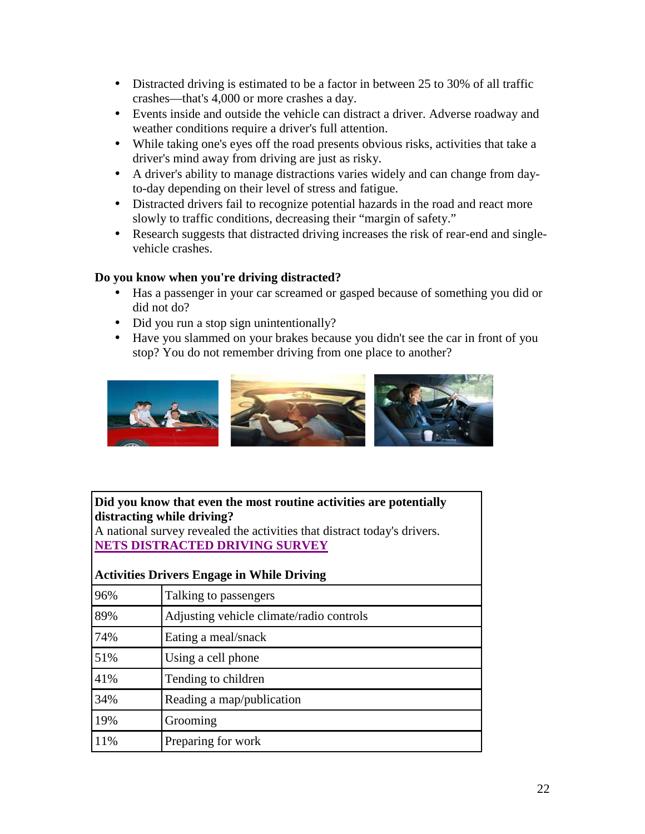- Distracted driving is estimated to be a factor in between 25 to 30% of all traffic crashes—that's 4,000 or more crashes a day.
- Events inside and outside the vehicle can distract a driver. Adverse roadway and weather conditions require a driver's full attention.
- While taking one's eyes off the road presents obvious risks, activities that take a driver's mind away from driving are just as risky.
- A driver's ability to manage distractions varies widely and can change from dayto-day depending on their level of stress and fatigue.
- Distracted drivers fail to recognize potential hazards in the road and react more slowly to traffic conditions, decreasing their "margin of safety."
- Research suggests that distracted driving increases the risk of rear-end and singlevehicle crashes.

## **Do you know when you're driving distracted?**

- Has a passenger in your car screamed or gasped because of something you did or did not do?
- Did you run a stop sign unintentionally?
- Have you slammed on your brakes because you didn't see the car in front of you stop? You do not remember driving from one place to another?



## **Did you know that even the most routine activities are potentially distracting while driving?**

A national survey revealed the activities that distract today's drivers. **NETS DISTRACTED DRIVING SURVEY**

## **Activities Drivers Engage in While Driving**

| 96% | Talking to passengers                    |
|-----|------------------------------------------|
| 89% | Adjusting vehicle climate/radio controls |
| 74% | Eating a meal/snack                      |
| 51% | Using a cell phone                       |
| 41% | Tending to children                      |
| 34% | Reading a map/publication                |
| 19% | Grooming                                 |
| 11% | Preparing for work                       |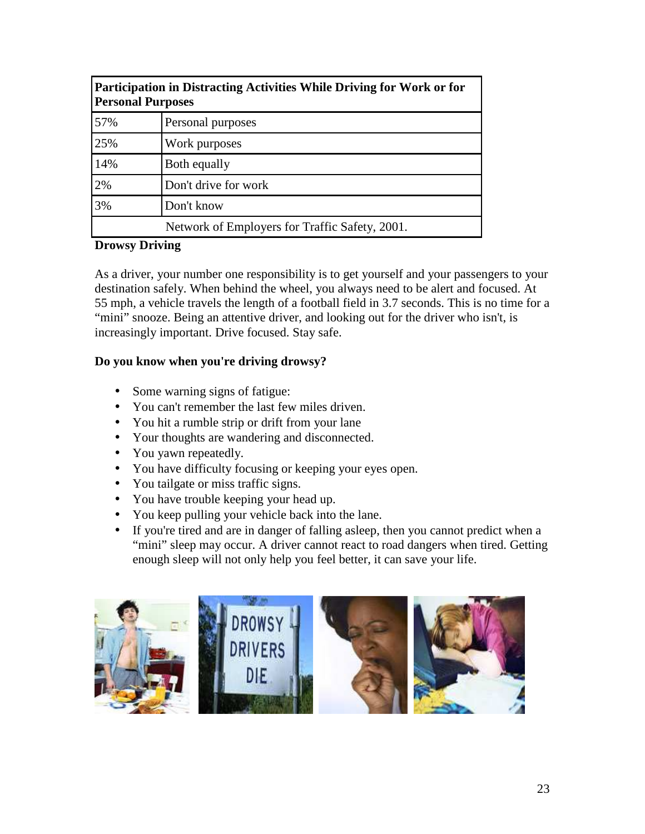| Participation in Distracting Activities While Driving for Work or for<br><b>Personal Purposes</b> |                                                |  |
|---------------------------------------------------------------------------------------------------|------------------------------------------------|--|
| 57%                                                                                               | Personal purposes                              |  |
| 25%                                                                                               | Work purposes                                  |  |
| 14%                                                                                               | Both equally                                   |  |
| 2%                                                                                                | Don't drive for work                           |  |
| 3%                                                                                                | Don't know                                     |  |
|                                                                                                   | Network of Employers for Traffic Safety, 2001. |  |

## **Drowsy Driving**

As a driver, your number one responsibility is to get yourself and your passengers to your destination safely. When behind the wheel, you always need to be alert and focused. At 55 mph, a vehicle travels the length of a football field in 3.7 seconds. This is no time for a "mini" snooze. Being an attentive driver, and looking out for the driver who isn't, is increasingly important. Drive focused. Stay safe.

## **Do you know when you're driving drowsy?**

- Some warning signs of fatigue:
- You can't remember the last few miles driven.
- You hit a rumble strip or drift from your lane
- Your thoughts are wandering and disconnected.
- You yawn repeatedly.
- You have difficulty focusing or keeping your eyes open.
- You tailgate or miss traffic signs.
- You have trouble keeping your head up.
- You keep pulling your vehicle back into the lane.
- If you're tired and are in danger of falling asleep, then you cannot predict when a "mini" sleep may occur. A driver cannot react to road dangers when tired. Getting enough sleep will not only help you feel better, it can save your life.

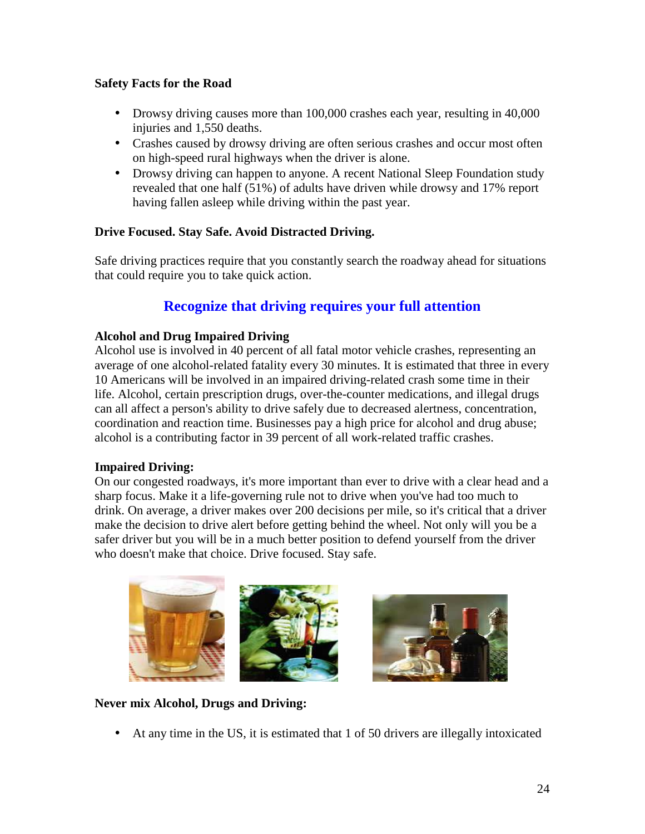## **Safety Facts for the Road**

- Drowsy driving causes more than 100,000 crashes each year, resulting in 40,000 injuries and 1,550 deaths.
- Crashes caused by drowsy driving are often serious crashes and occur most often on high-speed rural highways when the driver is alone.
- Drowsy driving can happen to anyone. A recent National Sleep Foundation study revealed that one half (51%) of adults have driven while drowsy and 17% report having fallen asleep while driving within the past year.

## **Drive Focused. Stay Safe. Avoid Distracted Driving.**

Safe driving practices require that you constantly search the roadway ahead for situations that could require you to take quick action.

## **Recognize that driving requires your full attention**

## **Alcohol and Drug Impaired Driving**

Alcohol use is involved in 40 percent of all fatal motor vehicle crashes, representing an average of one alcohol-related fatality every 30 minutes. It is estimated that three in every 10 Americans will be involved in an impaired driving-related crash some time in their life. Alcohol, certain prescription drugs, over-the-counter medications, and illegal drugs can all affect a person's ability to drive safely due to decreased alertness, concentration, coordination and reaction time. Businesses pay a high price for alcohol and drug abuse; alcohol is a contributing factor in 39 percent of all work-related traffic crashes.

## **Impaired Driving:**

On our congested roadways, it's more important than ever to drive with a clear head and a sharp focus. Make it a life-governing rule not to drive when you've had too much to drink. On average, a driver makes over 200 decisions per mile, so it's critical that a driver make the decision to drive alert before getting behind the wheel. Not only will you be a safer driver but you will be in a much better position to defend yourself from the driver who doesn't make that choice. Drive focused. Stay safe.



## **Never mix Alcohol, Drugs and Driving:**

• At any time in the US, it is estimated that 1 of 50 drivers are illegally intoxicated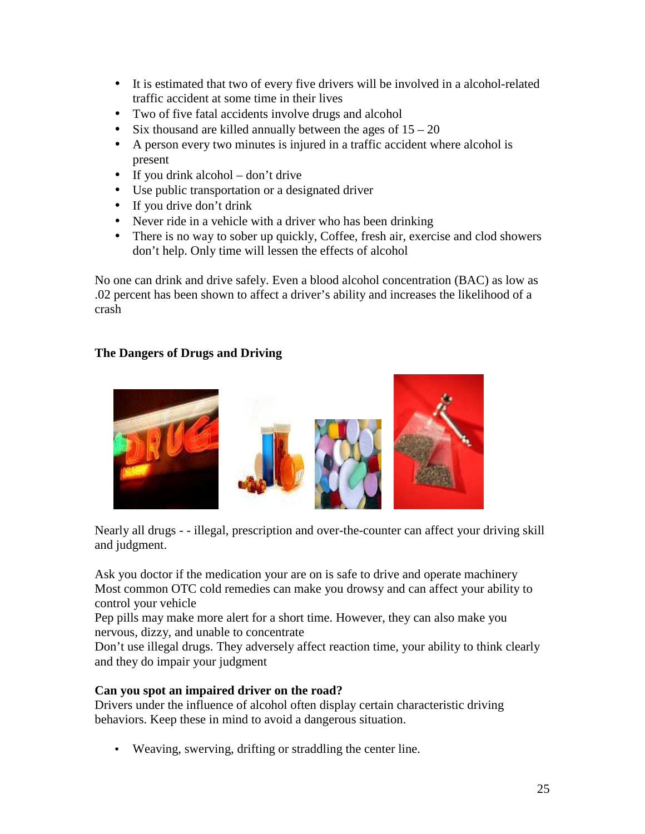- It is estimated that two of every five drivers will be involved in a alcohol-related traffic accident at some time in their lives
- Two of five fatal accidents involve drugs and alcohol
- Six thousand are killed annually between the ages of  $15 20$
- A person every two minutes is injured in a traffic accident where alcohol is present
- If you drink alcohol don't drive
- Use public transportation or a designated driver
- If you drive don't drink
- Never ride in a vehicle with a driver who has been drinking
- There is no way to sober up quickly, Coffee, fresh air, exercise and clod showers don't help. Only time will lessen the effects of alcohol

No one can drink and drive safely. Even a blood alcohol concentration (BAC) as low as .02 percent has been shown to affect a driver's ability and increases the likelihood of a crash

## **The Dangers of Drugs and Driving**



Nearly all drugs - - illegal, prescription and over-the-counter can affect your driving skill and judgment.

Ask you doctor if the medication your are on is safe to drive and operate machinery Most common OTC cold remedies can make you drowsy and can affect your ability to control your vehicle

Pep pills may make more alert for a short time. However, they can also make you nervous, dizzy, and unable to concentrate

Don't use illegal drugs. They adversely affect reaction time, your ability to think clearly and they do impair your judgment

## **Can you spot an impaired driver on the road?**

Drivers under the influence of alcohol often display certain characteristic driving behaviors. Keep these in mind to avoid a dangerous situation.

• Weaving, swerving, drifting or straddling the center line.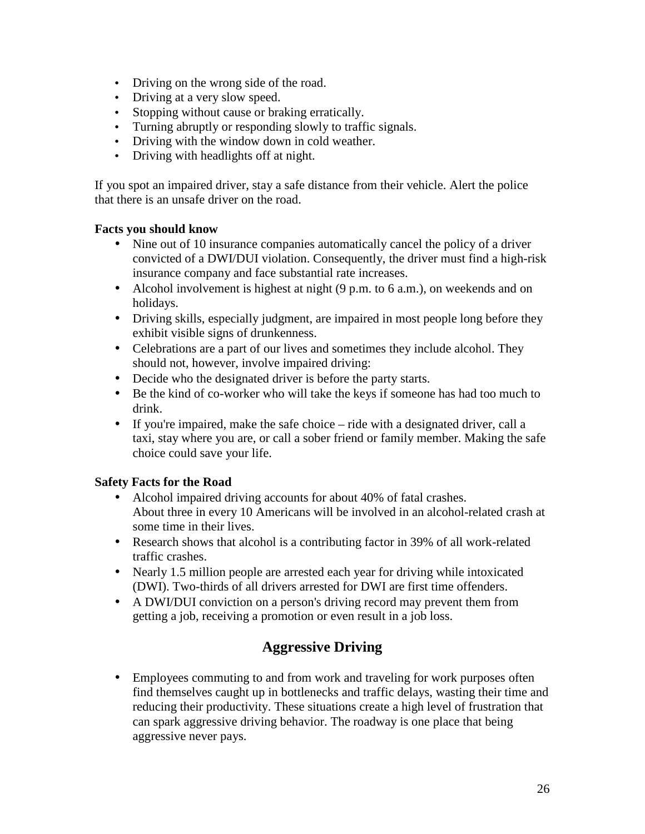- Driving on the wrong side of the road.
- Driving at a very slow speed.
- Stopping without cause or braking erratically.
- Turning abruptly or responding slowly to traffic signals.
- Driving with the window down in cold weather.
- Driving with headlights off at night.

If you spot an impaired driver, stay a safe distance from their vehicle. Alert the police that there is an unsafe driver on the road.

## **Facts you should know**

- Nine out of 10 insurance companies automatically cancel the policy of a driver convicted of a DWI/DUI violation. Consequently, the driver must find a high-risk insurance company and face substantial rate increases.
- Alcohol involvement is highest at night (9 p.m. to 6 a.m.), on weekends and on holidays.
- Driving skills, especially judgment, are impaired in most people long before they exhibit visible signs of drunkenness.
- Celebrations are a part of our lives and sometimes they include alcohol. They should not, however, involve impaired driving:
- Decide who the designated driver is before the party starts.
- Be the kind of co-worker who will take the keys if someone has had too much to drink.
- If you're impaired, make the safe choice ride with a designated driver, call a taxi, stay where you are, or call a sober friend or family member. Making the safe choice could save your life.

## **Safety Facts for the Road**

- Alcohol impaired driving accounts for about 40% of fatal crashes. About three in every 10 Americans will be involved in an alcohol-related crash at some time in their lives.
- Research shows that alcohol is a contributing factor in 39% of all work-related traffic crashes.
- Nearly 1.5 million people are arrested each year for driving while intoxicated (DWI). Two-thirds of all drivers arrested for DWI are first time offenders.
- A DWI/DUI conviction on a person's driving record may prevent them from getting a job, receiving a promotion or even result in a job loss.

## **Aggressive Driving**

• Employees commuting to and from work and traveling for work purposes often find themselves caught up in bottlenecks and traffic delays, wasting their time and reducing their productivity. These situations create a high level of frustration that can spark aggressive driving behavior. The roadway is one place that being aggressive never pays.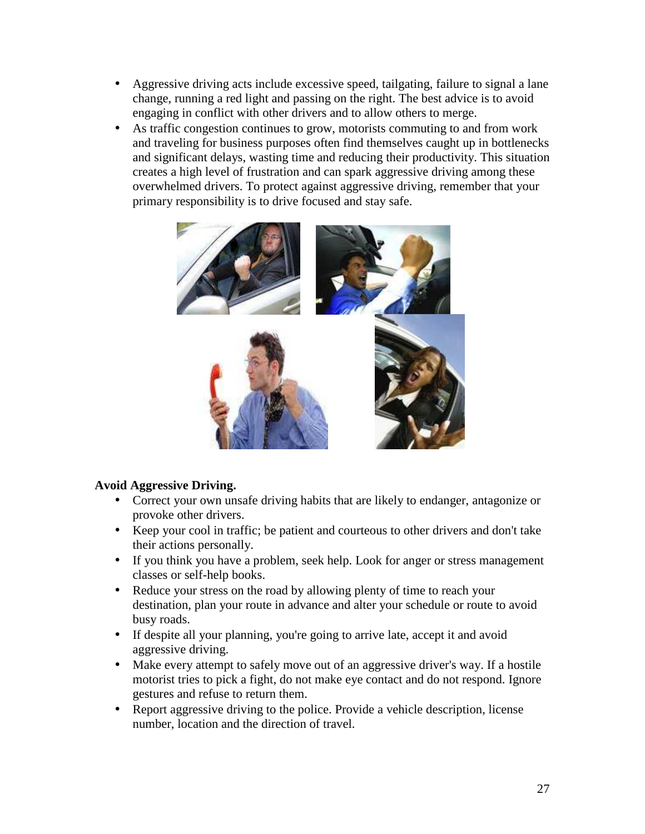- Aggressive driving acts include excessive speed, tailgating, failure to signal a lane change, running a red light and passing on the right. The best advice is to avoid engaging in conflict with other drivers and to allow others to merge.
- As traffic congestion continues to grow, motorists commuting to and from work and traveling for business purposes often find themselves caught up in bottlenecks and significant delays, wasting time and reducing their productivity. This situation creates a high level of frustration and can spark aggressive driving among these overwhelmed drivers. To protect against aggressive driving, remember that your primary responsibility is to drive focused and stay safe.



## **Avoid Aggressive Driving.**

- Correct your own unsafe driving habits that are likely to endanger, antagonize or provoke other drivers.
- Keep your cool in traffic; be patient and courteous to other drivers and don't take their actions personally.
- If you think you have a problem, seek help. Look for anger or stress management classes or self-help books.
- Reduce your stress on the road by allowing plenty of time to reach your destination, plan your route in advance and alter your schedule or route to avoid busy roads.
- If despite all your planning, you're going to arrive late, accept it and avoid aggressive driving.
- Make every attempt to safely move out of an aggressive driver's way. If a hostile motorist tries to pick a fight, do not make eye contact and do not respond. Ignore gestures and refuse to return them.
- Report aggressive driving to the police. Provide a vehicle description, license number, location and the direction of travel.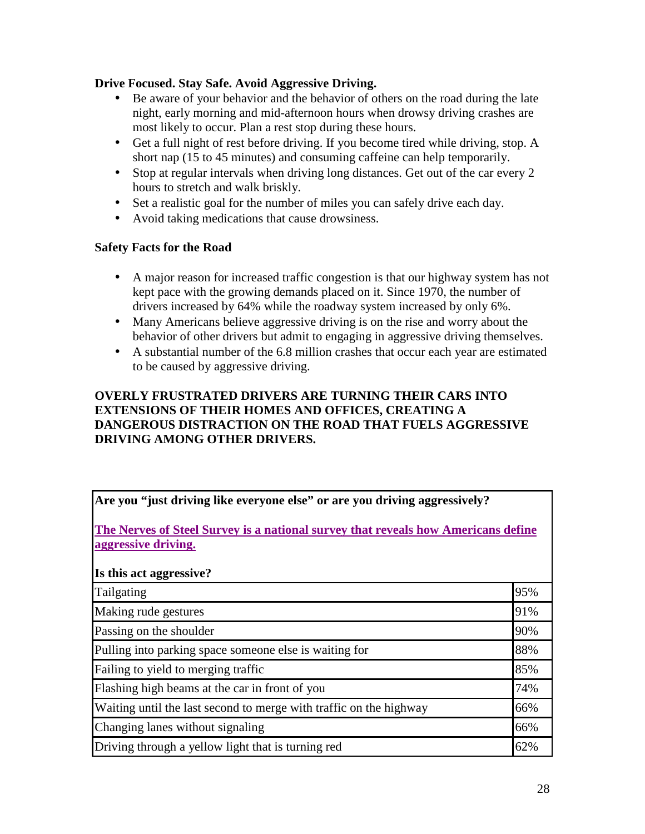## **Drive Focused. Stay Safe. Avoid Aggressive Driving.**

- Be aware of your behavior and the behavior of others on the road during the late night, early morning and mid-afternoon hours when drowsy driving crashes are most likely to occur. Plan a rest stop during these hours.
- Get a full night of rest before driving. If you become tired while driving, stop. A short nap (15 to 45 minutes) and consuming caffeine can help temporarily.
- Stop at regular intervals when driving long distances. Get out of the car every 2 hours to stretch and walk briskly.
- Set a realistic goal for the number of miles you can safely drive each day.
- Avoid taking medications that cause drowsiness.

## **Safety Facts for the Road**

- A major reason for increased traffic congestion is that our highway system has not kept pace with the growing demands placed on it. Since 1970, the number of drivers increased by 64% while the roadway system increased by only 6%.
- Many Americans believe aggressive driving is on the rise and worry about the behavior of other drivers but admit to engaging in aggressive driving themselves.
- A substantial number of the 6.8 million crashes that occur each year are estimated to be caused by aggressive driving.

## **OVERLY FRUSTRATED DRIVERS ARE TURNING THEIR CARS INTO EXTENSIONS OF THEIR HOMES AND OFFICES, CREATING A DANGEROUS DISTRACTION ON THE ROAD THAT FUELS AGGRESSIVE DRIVING AMONG OTHER DRIVERS.**

| Are you "just driving like everyone else" or are you driving aggressively?<br>The Nerves of Steel Survey is a national survey that reveals how Americans define<br>aggressive driving. |     |  |  |                         |
|----------------------------------------------------------------------------------------------------------------------------------------------------------------------------------------|-----|--|--|-------------------------|
|                                                                                                                                                                                        |     |  |  | Is this act aggressive? |
| Tailgating                                                                                                                                                                             | 95% |  |  |                         |
| Making rude gestures                                                                                                                                                                   | 91% |  |  |                         |
| Passing on the shoulder                                                                                                                                                                | 90% |  |  |                         |
| Pulling into parking space someone else is waiting for                                                                                                                                 | 88% |  |  |                         |
| Failing to yield to merging traffic.                                                                                                                                                   | 85% |  |  |                         |
| Flashing high beams at the car in front of you                                                                                                                                         | 74% |  |  |                         |
| Waiting until the last second to merge with traffic on the highway                                                                                                                     | 66% |  |  |                         |
| Changing lanes without signaling                                                                                                                                                       | 66% |  |  |                         |
| Driving through a yellow light that is turning red                                                                                                                                     | 62% |  |  |                         |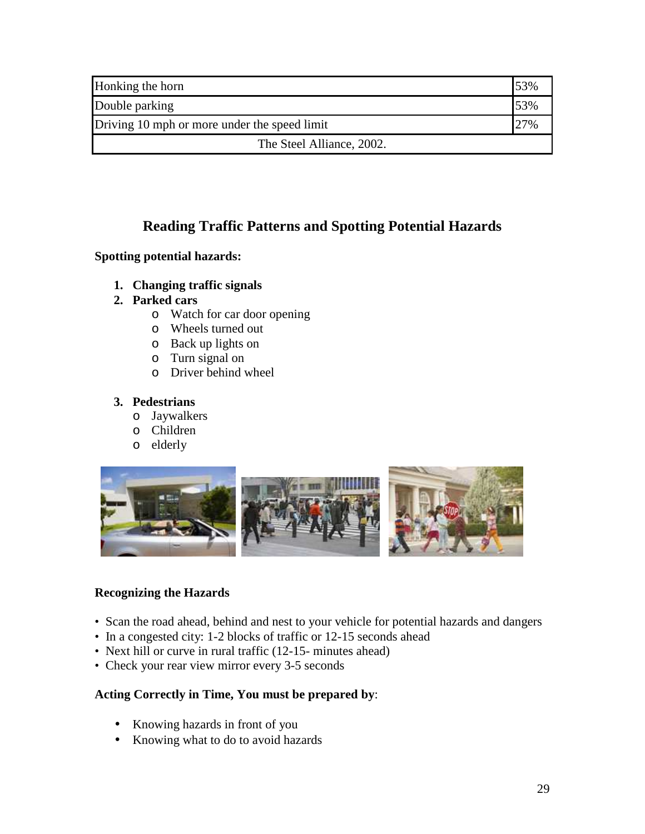| Honking the horn                             | 53% |
|----------------------------------------------|-----|
| Double parking                               | 53% |
| Driving 10 mph or more under the speed limit |     |
| The Steel Alliance, 2002.                    |     |

## **Reading Traffic Patterns and Spotting Potential Hazards**

## **Spotting potential hazards:**

- **1. Changing traffic signals**
- **2. Parked cars** 
	- o Watch for car door opening
	- o Wheels turned out
	- o Back up lights on
	- o Turn signal on
	- o Driver behind wheel

## **3. Pedestrians**

- o Jaywalkers
- o Children
- o elderly



## **Recognizing the Hazards**

- Scan the road ahead, behind and nest to your vehicle for potential hazards and dangers
- In a congested city: 1-2 blocks of traffic or 12-15 seconds ahead
- Next hill or curve in rural traffic (12-15- minutes ahead)
- Check your rear view mirror every 3-5 seconds

## **Acting Correctly in Time, You must be prepared by**:

- Knowing hazards in front of you
- Knowing what to do to avoid hazards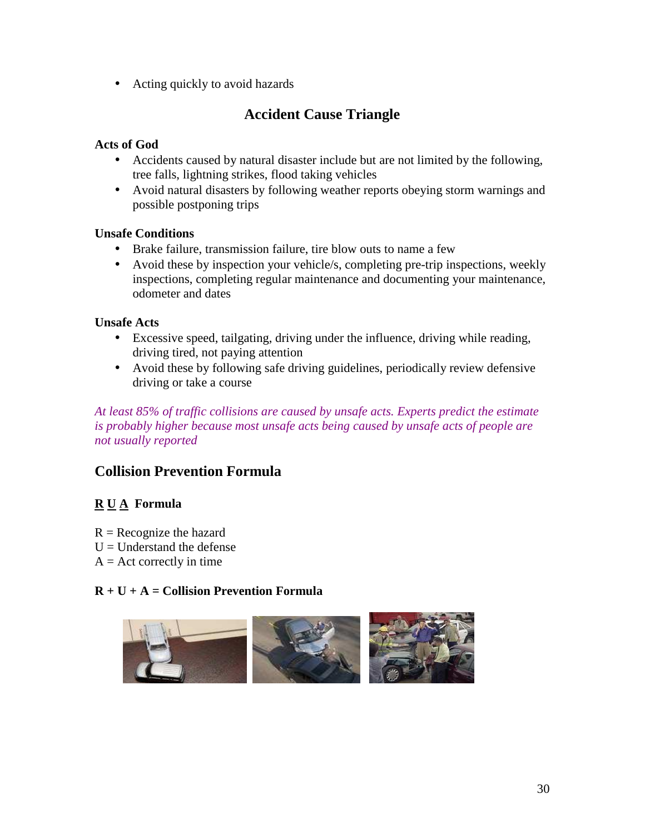• Acting quickly to avoid hazards

## **Accident Cause Triangle**

## **Acts of God**

- Accidents caused by natural disaster include but are not limited by the following, tree falls, lightning strikes, flood taking vehicles
- Avoid natural disasters by following weather reports obeying storm warnings and possible postponing trips

## **Unsafe Conditions**

- Brake failure, transmission failure, tire blow outs to name a few
- Avoid these by inspection your vehicle/s, completing pre-trip inspections, weekly inspections, completing regular maintenance and documenting your maintenance, odometer and dates

## **Unsafe Acts**

- Excessive speed, tailgating, driving under the influence, driving while reading, driving tired, not paying attention
- Avoid these by following safe driving guidelines, periodically review defensive driving or take a course

*At least 85% of traffic collisions are caused by unsafe acts. Experts predict the estimate is probably higher because most unsafe acts being caused by unsafe acts of people are not usually reported* 

## **Collision Prevention Formula**

## **R U A Formula**

- $R =$  Recognize the hazard
- $U =$ Understand the defense
- $A =$  Act correctly in time

## **R + U + A = Collision Prevention Formula**

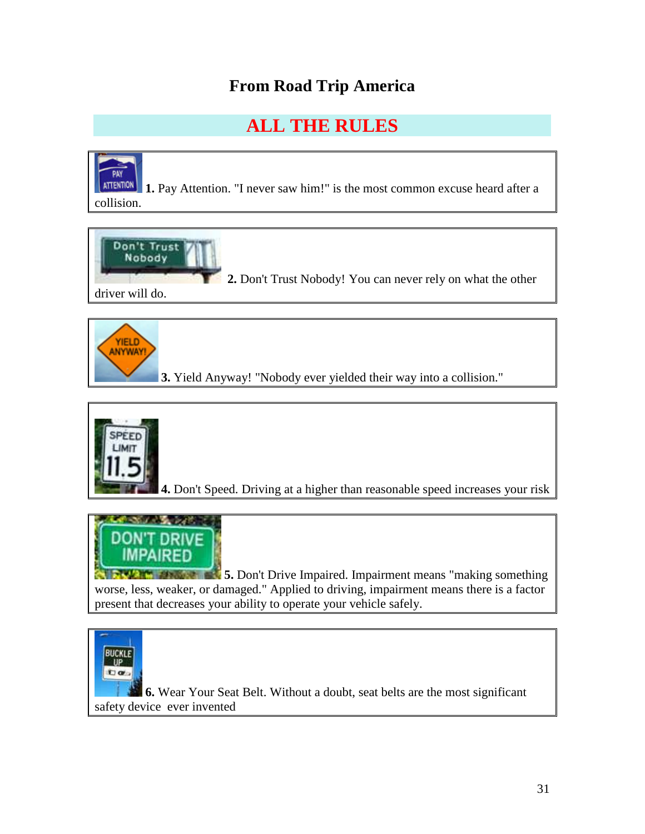## **From Road Trip America**

## **ALL THE RULES**

PAY **ATTENTION 1.** Pay Attention. "I never saw him!" is the most common excuse heard after a collision.







**4.** Don't Speed. Driving at a higher than reasonable speed increases your risk



**1. But It also as 5.** Don't Drive Impaired. Impairment means "making something" worse, less, weaker, or damaged." Applied to driving, impairment means there is a factor present that decreases your ability to operate your vehicle safely.



**6.** Wear Your Seat Belt. Without a doubt, seat belts are the most significant safety device ever invented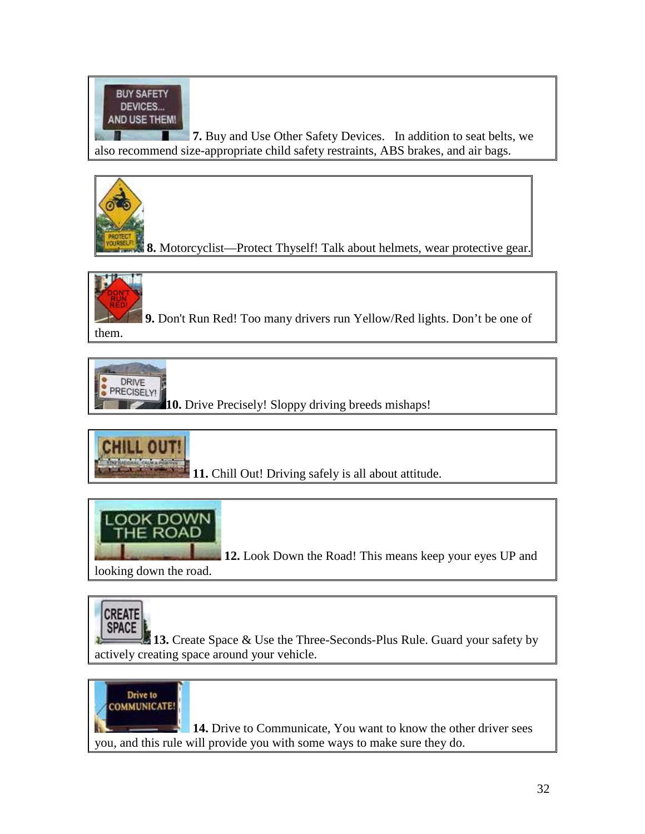

**7.** Buy and Use Other Safety Devices. In addition to seat belts, we also recommend size-appropriate child safety restraints, ABS brakes, and air bags.



**8.** Motorcyclist—Protect Thyself! Talk about helmets, wear protective gear.



**9.** Don't Run Red! Too many drivers run Yellow/Red lights. Don't be one of them.



**10.** Drive Precisely! Sloppy driving breeds mishaps!



**11.** Chill Out! Driving safely is all about attitude.



**12.** Look Down the Road! This means keep your eyes UP and

looking down the road.



13. Create Space & Use the Three-Seconds-Plus Rule. Guard your safety by actively creating space around your vehicle.



**14.** Drive to Communicate, You want to know the other driver sees you, and this rule will provide you with some ways to make sure they do.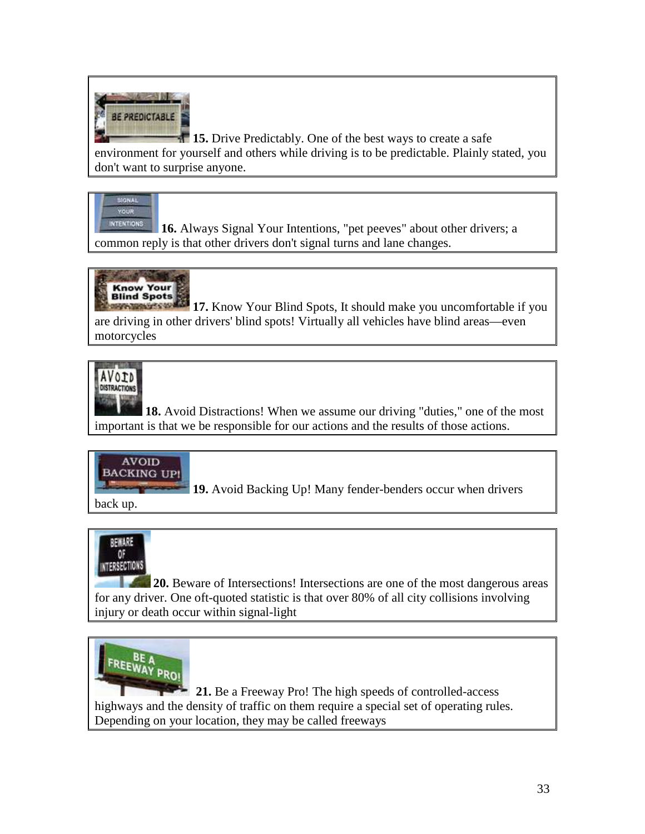

**15.** Drive Predictably. One of the best ways to create a safe environment for yourself and others while driving is to be predictable. Plainly stated, you don't want to surprise anyone.

#### SIGNAL YOUR

**INTENTIONS 16.** Always Signal Your Intentions, "pet peeves" about other drivers; a common reply is that other drivers don't signal turns and lane changes.



**Know Your Blind Spots, It should make you uncomfortable if you**<br>**17.** Know Your Blind Spots, It should make you uncomfortable if you are driving in other drivers' blind spots! Virtually all vehicles have blind areas—even motorcycles



**18.** Avoid Distractions! When we assume our driving "duties," one of the most important is that we be responsible for our actions and the results of those actions.



**19.** Avoid Backing Up! Many fender-benders occur when drivers

back up.



**20.** Beware of Intersections! Intersections are one of the most dangerous areas for any driver. One oft-quoted statistic is that over 80% of all city collisions involving injury or death occur within signal-light



 **21.** Be a Freeway Pro! The high speeds of controlled-access highways and the density of traffic on them require a special set of operating rules. Depending on your location, they may be called freeways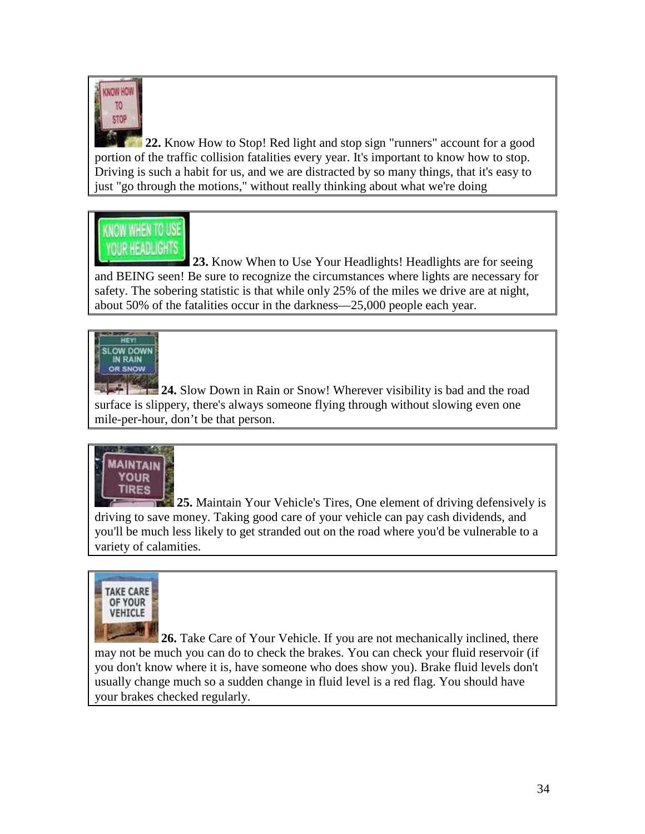

**22.** Know How to Stop! Red light and stop sign "runners" account for a good portion of the traffic collision fatalities every year. It's important to know how to stop. Driving is such a habit for us, and we are distracted by so many things, that it's easy to just "go through the motions," without really thinking about what we're doing

## **KNOW WHEN TO USE** *IOUR HEADLIGHTS*

**23.** Know When to Use Your Headlights! Headlights are for seeing and BEING seen! Be sure to recognize the circumstances where lights are necessary for safety. The sobering statistic is that while only 25% of the miles we drive are at night, about 50% of the fatalities occur in the darkness—25,000 people each year.



**24.** Slow Down in Rain or Snow! Wherever visibility is bad and the road surface is slippery, there's always someone flying through without slowing even one mile-per-hour, don't be that person.



**25.** Maintain Your Vehicle's Tires, One element of driving defensively is driving to save money. Taking good care of your vehicle can pay cash dividends, and you'll be much less likely to get stranded out on the road where you'd be vulnerable to a variety of calamities.



**26.** Take Care of Your Vehicle. If you are not mechanically inclined, there may not be much you can do to check the brakes. You can check your fluid reservoir (if you don't know where it is, have someone who does show you). Brake fluid levels don't usually change much so a sudden change in fluid level is a red flag. You should have your brakes checked regularly.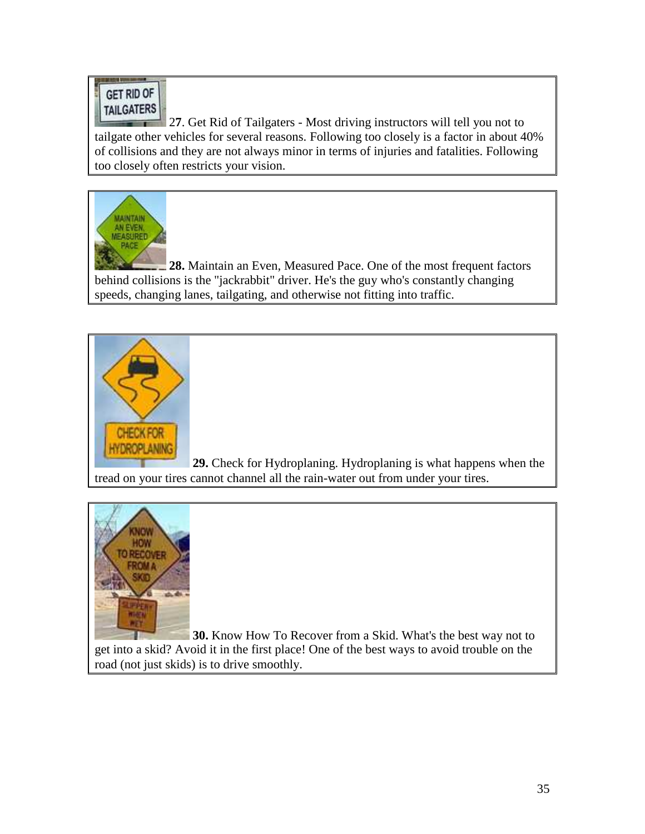## GET RID OF **TAILGATERS**

<sup>2</sup> 27. Get Rid of Tailgaters - Most driving instructors will tell you not to tailgate other vehicles for several reasons. Following too closely is a factor in about 40% of collisions and they are not always minor in terms of injuries and fatalities. Following too closely often restricts your vision.



**28.** Maintain an Even, Measured Pace. One of the most frequent factors behind collisions is the "jackrabbit" driver. He's the guy who's constantly changing speeds, changing lanes, tailgating, and otherwise not fitting into traffic.



**29.** Check for Hydroplaning. Hydroplaning is what happens when the tread on your tires cannot channel all the rain-water out from under your tires.



**30.** Know How To Recover from a Skid. What's the best way not to get into a skid? Avoid it in the first place! One of the best ways to avoid trouble on the road (not just skids) is to drive smoothly.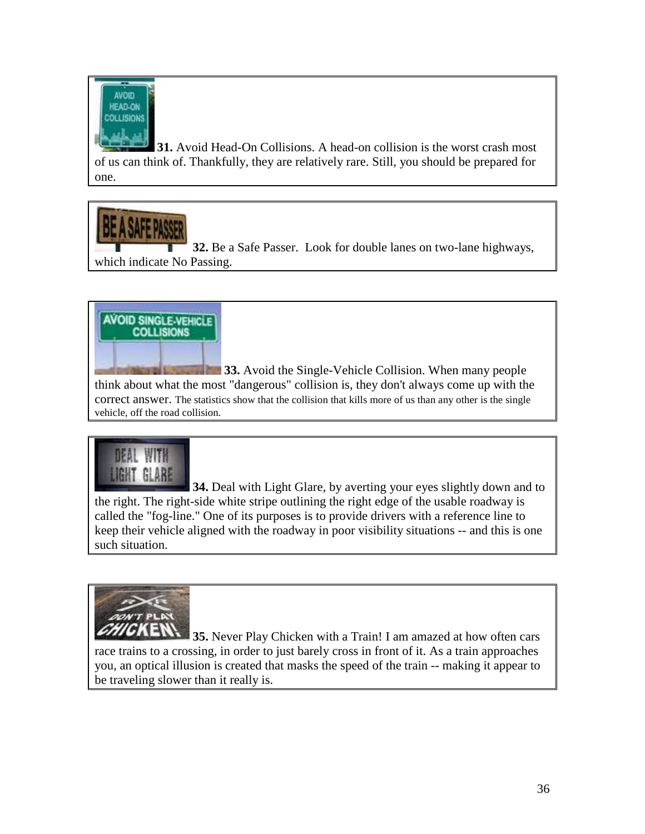

**31.** Avoid Head-On Collisions. A head-on collision is the worst crash most of us can think of. Thankfully, they are relatively rare. Still, you should be prepared for one.

**32.** Be a Safe Passer. Look for double lanes on two-lane highways, which indicate No Passing.

## **AVOID SINGLE-VEHICLE COLLISIONS**

**33.** Avoid the Single-Vehicle Collision. When many people think about what the most "dangerous" collision is, they don't always come up with the correct answer. The statistics show that the collision that kills more of us than any other is the single vehicle, off the road collision.

# **UGHT GLARE**

**34.** Deal with Light Glare, by averting your eyes slightly down and to the right. The right-side white stripe outlining the right edge of the usable roadway is called the "fog-line." One of its purposes is to provide drivers with a reference line to keep their vehicle aligned with the roadway in poor visibility situations -- and this is one such situation.



**35.** Never Play Chicken with a Train! I am amazed at how often cars race trains to a crossing, in order to just barely cross in front of it. As a train approaches you, an optical illusion is created that masks the speed of the train -- making it appear to be traveling slower than it really is.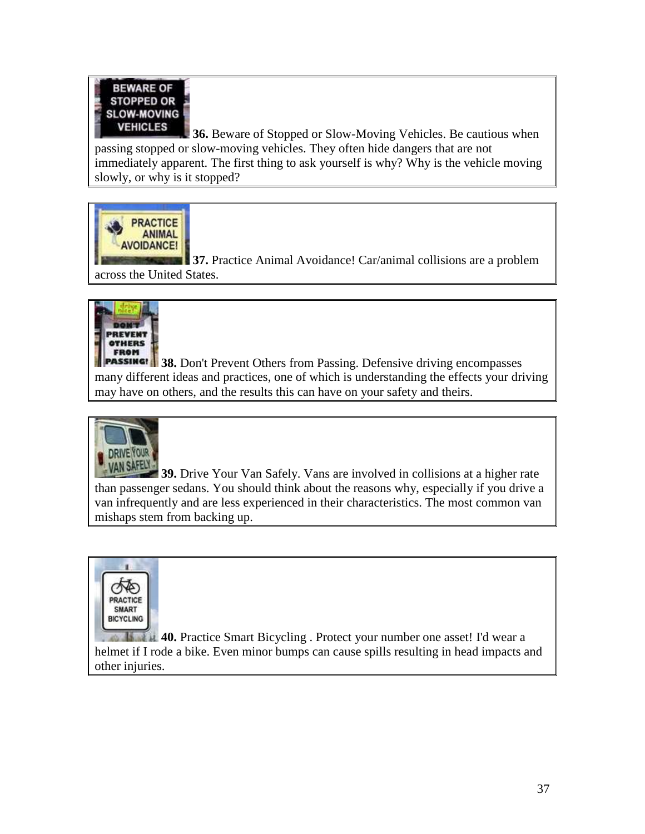

**36.** Beware of Stopped or Slow-Moving Vehicles. Be cautious when passing stopped or slow-moving vehicles. They often hide dangers that are not immediately apparent. The first thing to ask yourself is why? Why is the vehicle moving slowly, or why is it stopped?



**37.** Practice Animal Avoidance! Car/animal collisions are a problem across the United States.



**PASSING!** 38. Don't Prevent Others from Passing. Defensive driving encompasses many different ideas and practices, one of which is understanding the effects your driving may have on others, and the results this can have on your safety and theirs.



**39.** Drive Your Van Safely. Vans are involved in collisions at a higher rate than passenger sedans. You should think about the reasons why, especially if you drive a van infrequently and are less experienced in their characteristics. The most common van mishaps stem from backing up.



**40.** Practice Smart Bicycling . Protect your number one asset! I'd wear a helmet if I rode a bike. Even minor bumps can cause spills resulting in head impacts and other injuries.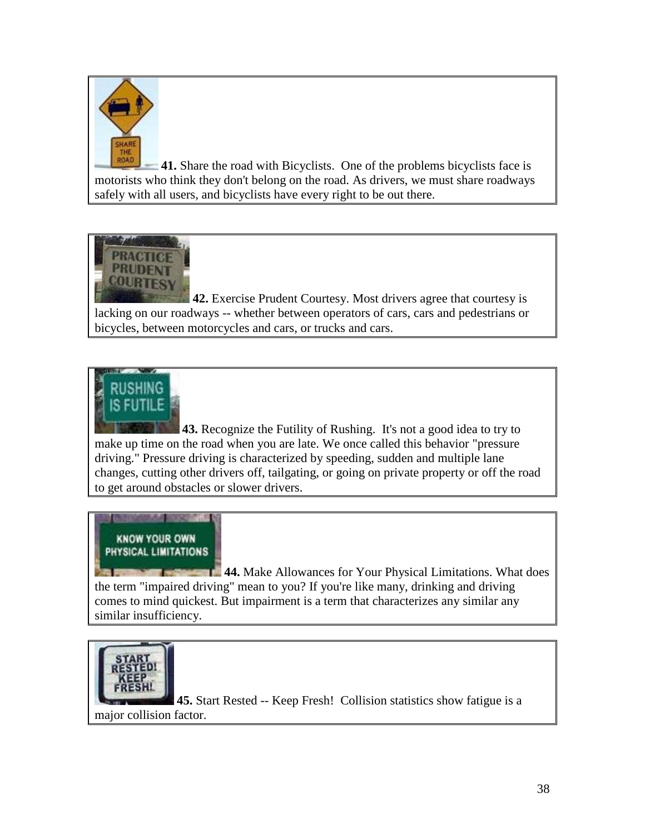

**41.** Share the road with Bicyclists. One of the problems bicyclists face is motorists who think they don't belong on the road. As drivers, we must share roadways safely with all users, and bicyclists have every right to be out there.



**42.** Exercise Prudent Courtesy. Most drivers agree that courtesy is lacking on our roadways -- whether between operators of cars, cars and pedestrians or bicycles, between motorcycles and cars, or trucks and cars.



**43.** Recognize the Futility of Rushing. It's not a good idea to try to make up time on the road when you are late. We once called this behavior "pressure driving." Pressure driving is characterized by speeding, sudden and multiple lane changes, cutting other drivers off, tailgating, or going on private property or off the road to get around obstacles or slower drivers.

## **KNOW YOUR OWN** PHYSICAL LIMITATIONS

**44.** Make Allowances for Your Physical Limitations. What does the term "impaired driving" mean to you? If you're like many, drinking and driving comes to mind quickest. But impairment is a term that characterizes any similar any similar insufficiency.



**45.** Start Rested -- Keep Fresh! Collision statistics show fatigue is a major collision factor.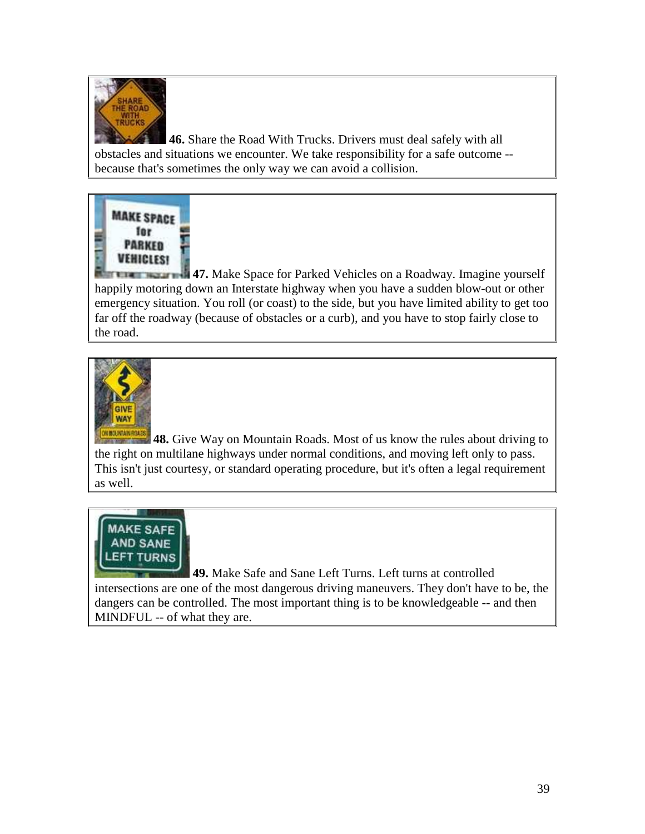

**46.** Share the Road With Trucks. Drivers must deal safely with all obstacles and situations we encounter. We take responsibility for a safe outcome - because that's sometimes the only way we can avoid a collision.



**47.** Make Space for Parked Vehicles on a Roadway. Imagine yourself happily motoring down an Interstate highway when you have a sudden blow-out or other emergency situation. You roll (or coast) to the side, but you have limited ability to get too far off the roadway (because of obstacles or a curb), and you have to stop fairly close to the road.



**48.** Give Way on Mountain Roads. Most of us know the rules about driving to the right on multilane highways under normal conditions, and moving left only to pass. This isn't just courtesy, or standard operating procedure, but it's often a legal requirement as well.



**49.** Make Safe and Sane Left Turns. Left turns at controlled intersections are one of the most dangerous driving maneuvers. They don't have to be, the dangers can be controlled. The most important thing is to be knowledgeable -- and then MINDFUL -- of what they are.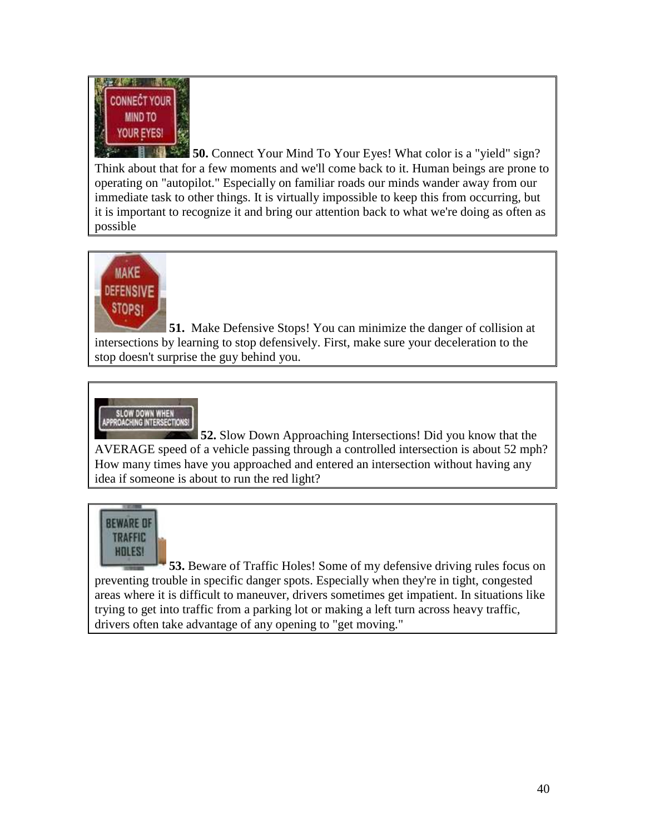

**50.** Connect Your Mind To Your Eyes! What color is a "yield" sign? Think about that for a few moments and we'll come back to it. Human beings are prone to operating on "autopilot." Especially on familiar roads our minds wander away from our immediate task to other things. It is virtually impossible to keep this from occurring, but it is important to recognize it and bring our attention back to what we're doing as often as possible



**51.** Make Defensive Stops! You can minimize the danger of collision at intersections by learning to stop defensively. First, make sure your deceleration to the stop doesn't surprise the guy behind you.



**52.** Slow Down Approaching Intersections! Did you know that the AVERAGE speed of a vehicle passing through a controlled intersection is about 52 mph? How many times have you approached and entered an intersection without having any idea if someone is about to run the red light?



**53.** Beware of Traffic Holes! Some of my defensive driving rules focus on preventing trouble in specific danger spots. Especially when they're in tight, congested areas where it is difficult to maneuver, drivers sometimes get impatient. In situations like trying to get into traffic from a parking lot or making a left turn across heavy traffic, drivers often take advantage of any opening to "get moving."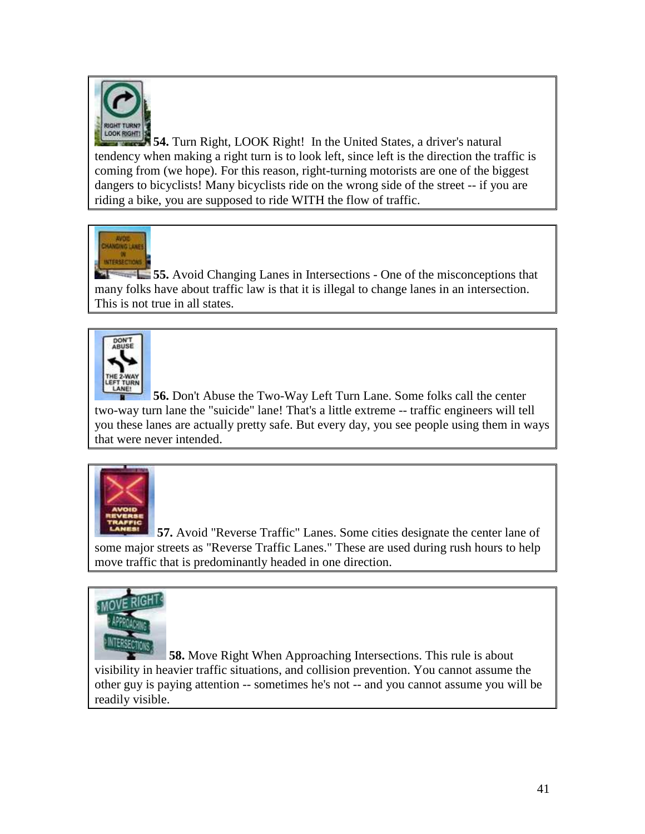

**54.** Turn Right, LOOK Right! In the United States, a driver's natural tendency when making a right turn is to look left, since left is the direction the traffic is coming from (we hope). For this reason, right-turning motorists are one of the biggest dangers to bicyclists! Many bicyclists ride on the wrong side of the street -- if you are riding a bike, you are supposed to ride WITH the flow of traffic.



**55.** Avoid Changing Lanes in Intersections - One of the misconceptions that many folks have about traffic law is that it is illegal to change lanes in an intersection. This is not true in all states.



**56.** Don't Abuse the Two-Way Left Turn Lane. Some folks call the center two-way turn lane the "suicide" lane! That's a little extreme -- traffic engineers will tell you these lanes are actually pretty safe. But every day, you see people using them in ways that were never intended.



**57.** Avoid "Reverse Traffic" Lanes. Some cities designate the center lane of some major streets as "Reverse Traffic Lanes." These are used during rush hours to help move traffic that is predominantly headed in one direction.



**58.** Move Right When Approaching Intersections. This rule is about visibility in heavier traffic situations, and collision prevention. You cannot assume the other guy is paying attention -- sometimes he's not -- and you cannot assume you will be readily visible.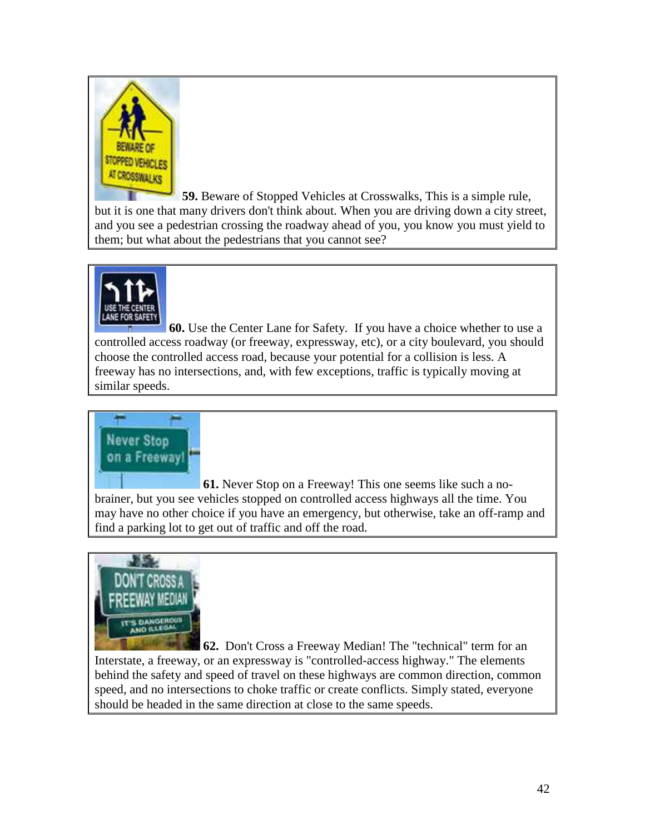

**59.** Beware of Stopped Vehicles at Crosswalks, This is a simple rule, but it is one that many drivers don't think about. When you are driving down a city street, and you see a pedestrian crossing the roadway ahead of you, you know you must yield to them; but what about the pedestrians that you cannot see?



**60.** Use the Center Lane for Safety. If you have a choice whether to use a controlled access roadway (or freeway, expressway, etc), or a city boulevard, you should choose the controlled access road, because your potential for a collision is less. A freeway has no intersections, and, with few exceptions, traffic is typically moving at similar speeds.



**61.** Never Stop on a Freeway! This one seems like such a nobrainer, but you see vehicles stopped on controlled access highways all the time. You may have no other choice if you have an emergency, but otherwise, take an off-ramp and find a parking lot to get out of traffic and off the road.



**62.** Don't Cross a Freeway Median! The "technical" term for an Interstate, a freeway, or an expressway is "controlled-access highway." The elements behind the safety and speed of travel on these highways are common direction, common speed, and no intersections to choke traffic or create conflicts. Simply stated, everyone should be headed in the same direction at close to the same speeds.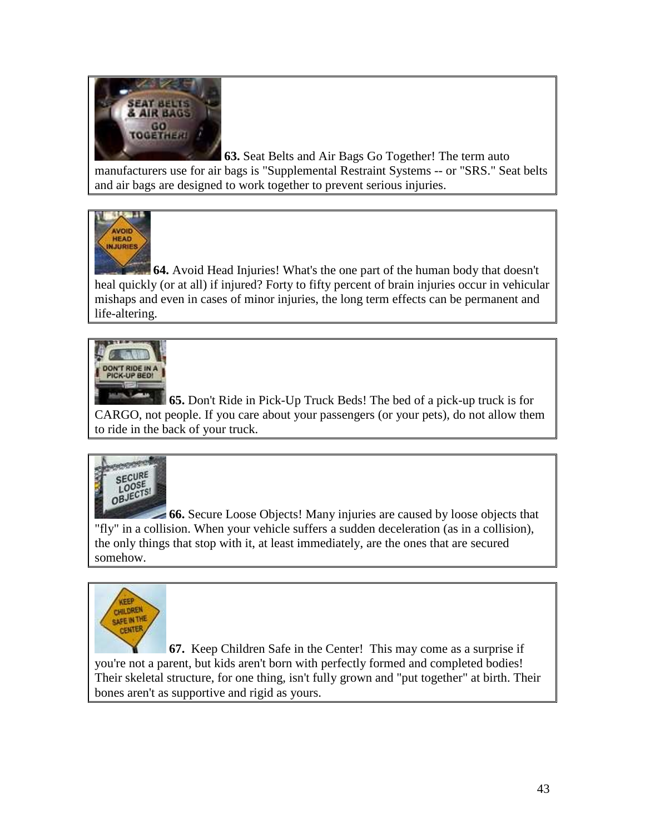

**63.** Seat Belts and Air Bags Go Together! The term auto manufacturers use for air bags is "Supplemental Restraint Systems -- or "SRS." Seat belts and air bags are designed to work together to prevent serious injuries.



**64.** Avoid Head Injuries! What's the one part of the human body that doesn't heal quickly (or at all) if injured? Forty to fifty percent of brain injuries occur in vehicular mishaps and even in cases of minor injuries, the long term effects can be permanent and life-altering.



**65.** Don't Ride in Pick-Up Truck Beds! The bed of a pick-up truck is for CARGO, not people. If you care about your passengers (or your pets), do not allow them to ride in the back of your truck.



**66.** Secure Loose Objects! Many injuries are caused by loose objects that "fly" in a collision. When your vehicle suffers a sudden deceleration (as in a collision), the only things that stop with it, at least immediately, are the ones that are secured somehow.



**67.** Keep Children Safe in the Center! This may come as a surprise if you're not a parent, but kids aren't born with perfectly formed and completed bodies! Their skeletal structure, for one thing, isn't fully grown and "put together" at birth. Their bones aren't as supportive and rigid as yours.